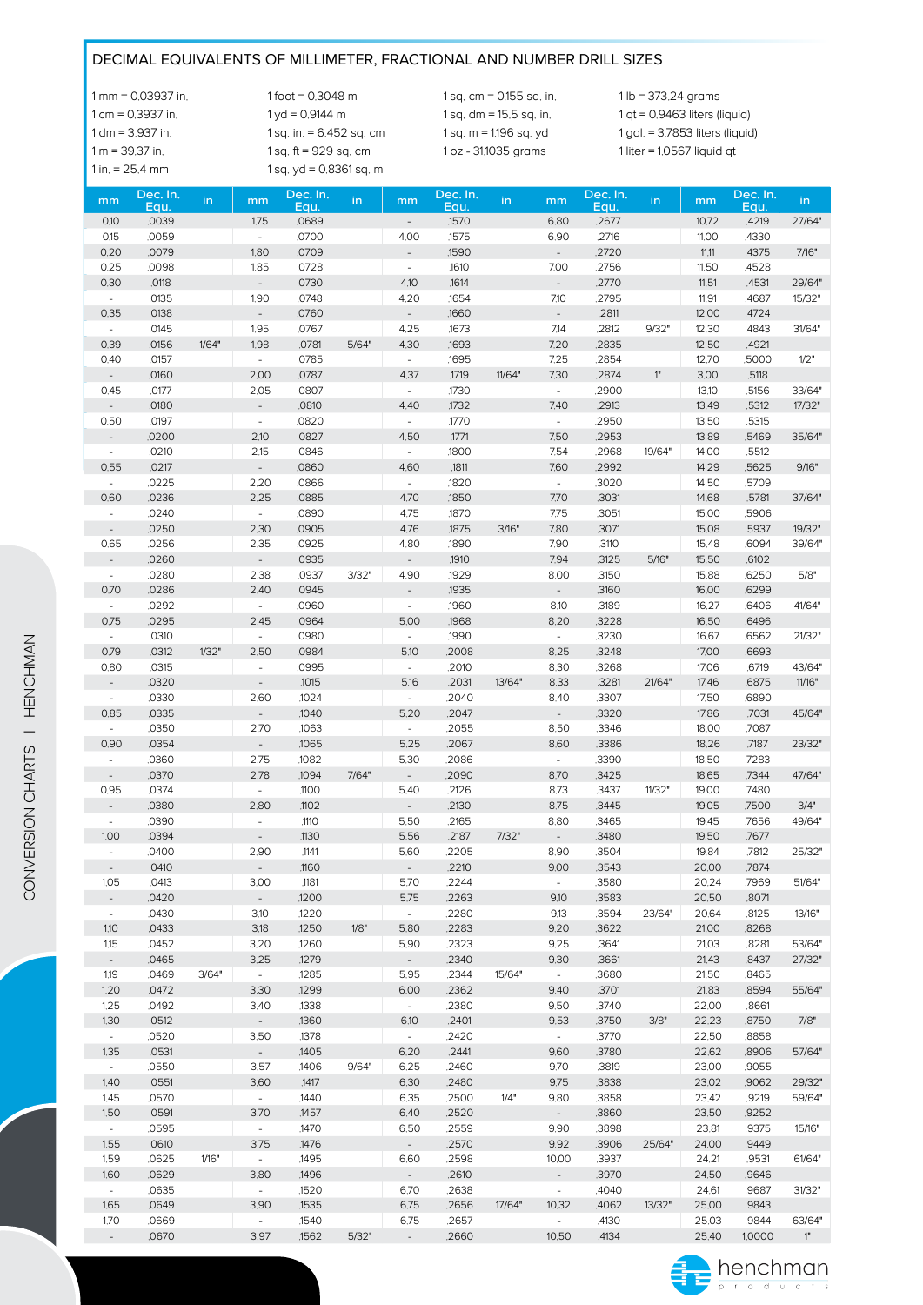#### DECIMAL EQUIVALENTS OF MILLIMETER, FRACTIONAL AND NUMBER DRILL SIZES

1 mm = 0.03937 in. 1 foot = 0.3048 m 1 sq. cm = 0.155 sq. in. 1 lb = 373.24 grams 1 cm = 0.3937 in. 1 yd = 0.9144 m 1 sq. dm = 15.5 sq. in. 1 qt = 0.9463 liters (liquid) 1 dm = 3.937 in. 1 sq. in. = 6.452 sq. cm 1 sq. m = 1.196 sq. yd 1 gal. = 3.7853 liters (liquid) 1 m = 39.37 in. 1 sq. ft = 929 sq. cm 1 oz - 31.1035 grams 1 liter = 1.0567 liquid qt 1 in. = 25.4 mm 1 sq. yd = 0.8361 sq. m

| mm                               | Dec. In.       | in    | mm                               | Dec. In.       | in    | mm                          | Dec. In.       | in     | mm                          | Dec. In.       | in     | mm             | Dec. In.       | in     |
|----------------------------------|----------------|-------|----------------------------------|----------------|-------|-----------------------------|----------------|--------|-----------------------------|----------------|--------|----------------|----------------|--------|
|                                  | Equ.           |       |                                  | Equ.           |       |                             | Equ.           |        |                             | Equ.           |        |                | Equ.           |        |
| 0.10                             | .0039          |       | 1.75                             | .0689          |       |                             | .1570          |        | 6.80                        | .2677          |        | 10.72          | .4219          | 27/64" |
| 0.15                             | .0059          |       |                                  | .0700          |       | 4.00                        | .1575          |        | 6.90                        | .2716          |        | 11.00          | .4330          |        |
| 0.20                             | .0079          |       | 1.80                             | .0709          |       | $\overline{\phantom{a}}$    | .1590          |        | $\blacksquare$              | .2720          |        | 11,11          | .4375          | 7/16"  |
| 0.25                             | .0098          |       | 1.85                             | .0728          |       | $\omega$                    | .1610          |        | 7.00                        | .2756          |        | 11.50          | .4528          |        |
| 0.30                             | .0118          |       | $\overline{\phantom{a}}$         | .0730          |       | 4.10                        | .1614          |        | $\bar{\phantom{a}}$         | .2770          |        | 11,51          | .4531          | 29/64" |
| $\overline{\phantom{a}}$         | .0135          |       | 1.90                             | .0748          |       | 4.20                        | .1654          |        | 7.10                        | .2795          |        | 11,91          | .4687          | 15/32" |
| 0.35                             | .0138          |       | $\overline{a}$                   | 0760           |       |                             | .1660          |        | $\overline{\phantom{a}}$    | .2811          |        | 12.00          | .4724          |        |
| $\overline{\phantom{a}}$         | .0145          |       | 1.95                             | .0767          |       | 4.25                        | .1673          |        | 7.14                        | .2812          | 9/32"  | 12.30          | .4843          | 31/64" |
| 0.39                             | .0156          | 1/64" | 1.98                             | .0781          | 5/64" | 4.30                        | .1693          |        | 7.20                        | .2835          |        | 12.50          | .4921          |        |
| 0.40                             | .0157          |       | $\overline{\phantom{a}}$<br>2.00 | .0785          |       | $\sim$                      | .1695          |        | 7.25                        | .2854          | $1n$   | 12.70          | .5000          | 1/2"   |
| $\overline{\phantom{a}}$         | .0160<br>.0177 |       |                                  | .0787          |       | 4.37                        | .1719<br>.1730 | 11/64" | 7.30<br>$\bar{\phantom{a}}$ | .2874          |        | 3.00           | .5118          |        |
| 0.45                             | .0180          |       | 2.05<br>$\overline{a}$           | .0807          |       | $\blacksquare$              | .1732          |        | 7.40                        | .2900          |        | 13.10          | .5156<br>.5312 | 33/64" |
| $\overline{\phantom{a}}$<br>0.50 | .0197          |       | $\overline{\phantom{a}}$         | .0810<br>.0820 |       | 4.40<br>$\bar{a}$           | .1770          |        | $\bar{\phantom{a}}$         | .2913<br>.2950 |        | 13.49<br>13.50 | .5315          | 17/32" |
|                                  | .0200          |       | 2.10                             | .0827          |       | 4.50                        | .1771          |        | 7.50                        | .2953          |        | 13.89          | .5469          | 35/64" |
| $\overline{\phantom{a}}$         | .0210          |       | 2.15                             | .0846          |       | $\overline{\phantom{a}}$    | .1800          |        | 7.54                        | .2968          | 19/64" |                | .5512          |        |
| 0.55                             | .0217          |       | $\overline{\phantom{a}}$         | .0860          |       | 4.60                        | .1811          |        | 7.60                        | .2992          |        | 14.00<br>14.29 | .5625          | 9/16"  |
| $\overline{\phantom{a}}$         | .0225          |       | 2.20                             | .0866          |       | $\blacksquare$              | .1820          |        | $\overline{\phantom{a}}$    | .3020          |        | 14.50          | .5709          |        |
| 0.60                             | .0236          |       | 2.25                             | .0885          |       | 4.70                        | .1850          |        | 7.70                        | .3031          |        |                | .5781          | 37/64" |
|                                  | .0240          |       | $\blacksquare$                   | .0890          |       | 4.75                        | .1870          |        | 7.75                        | .3051          |        | 14.68<br>15.00 | .5906          |        |
|                                  | .0250          |       | 2.30                             | .0905          |       | 4.76                        | .1875          | 3/16"  | 7.80                        |                |        |                | .5937          | 19/32" |
| $\qquad \qquad -$<br>0.65        | .0256          |       | 2.35                             | .0925          |       | 4.80                        | .1890          |        | 7.90                        | .3071<br>.3110 |        | 15.08<br>15.48 | .6094          | 39/64" |
| $\qquad \qquad -$                | .0260          |       | $\frac{1}{2}$                    | .0935          |       |                             | .1910          |        | 7.94                        | .3125          | 5/16"  | 15.50          | .6102          |        |
| $\bar{a}$                        | .0280          |       | 2.38                             | .0937          | 3/32" | 4.90                        | .1929          |        | 8.00                        | .3150          |        | 15.88          | .6250          | 5/8"   |
| 0.70                             | .0286          |       | 2.40                             | .0945          |       |                             | .1935          |        | $\blacksquare$              | .3160          |        | 16.00          | .6299          |        |
| $\Box$                           | .0292          |       | $\bar{\phantom{a}}$              | .0960          |       | $\blacksquare$              | .1960          |        | 8.10                        | .3189          |        | 16.27          | .6406          | 41/64" |
| 0.75                             | 0295           |       | 2.45                             | .0964          |       | 5.00                        | .1968          |        | 8.20                        | .3228          |        | 16.50          | .6496          |        |
| $\overline{\phantom{a}}$         | .0310          |       | $\blacksquare$                   | .0980          |       | $\overline{\phantom{a}}$    | .1990          |        | $\Box$                      | .3230          |        | 16.67          | .6562          | 21/32" |
| 0.79                             | .0312          | 1/32" | 2.50                             | .0984          |       | 5.10                        | 2008           |        | 8.25                        | .3248          |        | 17.00          | .6693          |        |
| 0.80                             | .0315          |       |                                  | .0995          |       | $\sim$                      | .2010          |        | 8.30                        | .3268          |        | 17.06          | .6719          | 43/64" |
| $\overline{\phantom{a}}$         | .0320          |       | $\overline{\phantom{a}}$         | .1015          |       | 5.16                        | .2031          | 13/64" | 8.33                        | .3281          | 21/64" | 17.46          | .6875          | 11/16" |
| $\blacksquare$                   | .0330          |       | 2.60                             | .1024          |       | $\bar{\phantom{a}}$         | .2040          |        | 8.40                        | .3307          |        | 17.50          | .6890          |        |
| 0.85                             | .0335          |       | $\blacksquare$                   | .1040          |       | 5.20                        | .2047          |        | $\overline{\phantom{a}}$    | .3320          |        | 17.86          | .7031          | 45/64" |
| $\blacksquare$                   | .0350          |       | 2.70                             | .1063          |       | $\blacksquare$              | .2055          |        | 8.50                        | .3346          |        | 18.00          | .7087          |        |
| 0.90                             | .0354          |       | $\frac{1}{2}$                    | .1065          |       | 5.25                        | .2067          |        | 8.60                        | .3386          |        | 18.26          | .7187          | 23/32" |
| $\overline{\phantom{a}}$         | .0360          |       | 2.75                             | .1082          |       | 5.30                        | .2086          |        | $\omega$                    | .3390          |        | 18.50          | .7283          |        |
| $\overline{\phantom{a}}$         | .0370          |       | 2.78                             | .1094          | 7/64" | $\overline{\phantom{a}}$    | 2090           |        | 8.70                        | .3425          |        | 18.65          | .7344          | 47/64" |
| 0.95                             | .0374          |       | $\overline{\phantom{a}}$         | .1100          |       | 5.40                        | .2126          |        | 8.73                        | .3437          | 11/32" | 19.00          | .7480          |        |
| $\overline{\phantom{a}}$         | .0380          |       | 2.80                             | .1102          |       | $\overline{\phantom{a}}$    | .2130          |        | 8.75                        | .3445          |        | 19.05          | .7500          | 3/4"   |
| $\bar{a}$                        | .0390          |       | ÷,                               | .1110          |       | 5.50                        | .2165          |        | 8.80                        | .3465          |        | 19.45          | .7656          | 49/64" |
| 1.00                             | .0394          |       |                                  | .1130          |       | 5.56                        | 2187           | 7/32"  | $\blacksquare$              | .3480          |        | 19.50          | .7677          |        |
|                                  | .0400          |       | 2.90                             | .1141          |       | 5.60                        | .2205          |        | 8.90                        | .3504          |        | 19.84          | .7812          | 25/32" |
|                                  | .0410          |       |                                  | .1160          |       |                             | .2210          |        | 9.00                        | .3543          |        | 20.00          | .7874          |        |
| 1.05                             | .0413          |       | 3.00                             | .1181          |       | 5.70                        | .2244          |        | $\blacksquare$              | .3580          |        | 20.24          | .7969          | 51/64  |
|                                  | .0420          |       | $\blacksquare$                   | .1200          |       | 5.75                        | .2263          |        | 9.10                        | .3583          |        | 20.50          | .8071          |        |
| $\sim$                           | .0430          |       | 3.10                             | .1220          |       | $\sim$                      | .2280          |        | 9.13                        | .3594          | 23/64" | 20.64          | .8125          | 13/16" |
| 1.10                             | .0433          |       | 3.18                             | .1250          | 1/8"  | 5.80                        | .2283          |        | 9.20                        | .3622          |        | 21.00          | .8268          |        |
| 1.15                             | .0452          |       | 3.20                             | .1260          |       | 5.90                        | .2323          |        | 9.25                        | .3641          |        | 21.03          | .8281          | 53/64" |
| $\overline{\phantom{a}}$         | .0465          |       | 3.25                             | .1279          |       | $\sim$                      | .2340          |        | 9.30                        | .3661          |        | 21.43          | .8437          | 27/32" |
| 1.19                             | .0469          | 3/64" | ÷,                               | .1285          |       | 5.95                        | .2344          | 15/64" | $\overline{\phantom{a}}$    | .3680          |        | 21.50          | .8465          |        |
| 1,20                             | .0472          |       | 3.30                             | .1299          |       | 6.00                        | .2362          |        | 9.40                        | .3701          |        | 21.83          | .8594          | 55/64" |
| 1.25                             | .0492          |       | 3.40                             | .1338          |       | $\mathcal{L}_{\mathcal{A}}$ | .2380          |        | 9.50                        | .3740          |        | 22.00          | .8661          |        |
| 1.30                             | .0512          |       | $\sim$                           | .1360          |       | 6.10                        | .2401          |        | 9.53                        | .3750          | 3/8"   | 22.23          | .8750          | 7/8"   |
| $\sim$                           | .0520          |       | 3.50                             | .1378          |       | $\overline{\phantom{a}}$    | .2420          |        | $\overline{\phantom{a}}$    | .3770          |        | 22.50          | .8858          |        |
| 1.35                             | .0531          |       | $\blacksquare$                   | .1405          |       | 6.20                        | .2441          |        | 9.60                        | .3780          |        | 22.62          | .8906          | 57/64" |
| $\omega$                         | .0550          |       | 3.57                             | .1406          | 9/64" | 6.25                        | .2460          |        | 9.70                        | .3819          |        | 23.00          | .9055          |        |
| 1.40                             | .0551          |       | 3.60                             | .1417          |       | 6.30                        | .2480          |        | 9.75                        | .3838          |        | 23.02          | .9062          | 29/32" |
| 1.45                             | .0570          |       | $\equiv$                         | .1440          |       | 6.35                        | .2500          | 1/4"   | 9.80                        | .3858          |        | 23.42          | .9219          | 59/64" |
| 1.50                             | .0591          |       | 3.70                             | .1457          |       | 6.40                        | .2520          |        | $\sim$                      | .3860          |        | 23.50          | .9252          |        |
| $\overline{\phantom{a}}$         | .0595          |       | $\bar{\phantom{a}}$              | .1470          |       | 6.50                        | .2559          |        | 9.90                        | .3898          |        | 23.81          | .9375          | 15/16" |
| 1.55                             | .0610          |       | 3.75                             | .1476          |       | $\overline{\phantom{a}}$    | .2570          |        | 9.92                        | .3906          | 25/64" | 24.00          | .9449          |        |
| 1.59                             | .0625          | 1/16" | $\omega$                         | .1495          |       | 6.60                        | .2598          |        | 10.00                       | .3937          |        | 24.21          | .9531          | 61/64" |
| 1.60                             | .0629          |       | 3.80                             | .1496          |       | $\sim$                      | .2610          |        | $\overline{\phantom{a}}$    | .3970          |        | 24.50          | .9646          |        |
| $\omega$                         | .0635          |       | $\omega$                         | .1520          |       | 6.70                        | .2638          |        | $\overline{\phantom{a}}$    | .4040          |        | 24.61          | .9687          | 31/32" |
| 1.65                             | .0649          |       | 3.90                             | .1535          |       | 6.75                        | .2656          | 17/64" | 10.32                       | .4062          | 13/32" | 25.00          | .9843          |        |
| 1.70                             | .0669          |       | $\Box$                           | .1540          |       | 6.75                        | .2657          |        | $\blacksquare$              | .4130          |        | 25.03          | .9844          | 63/64" |
|                                  | .0670          |       | 3.97                             | .1562          | 5/32" | $\equiv$                    | .2660          |        | 10.50                       | .4134          |        | 25.40          | 1.0000         | 1"     |

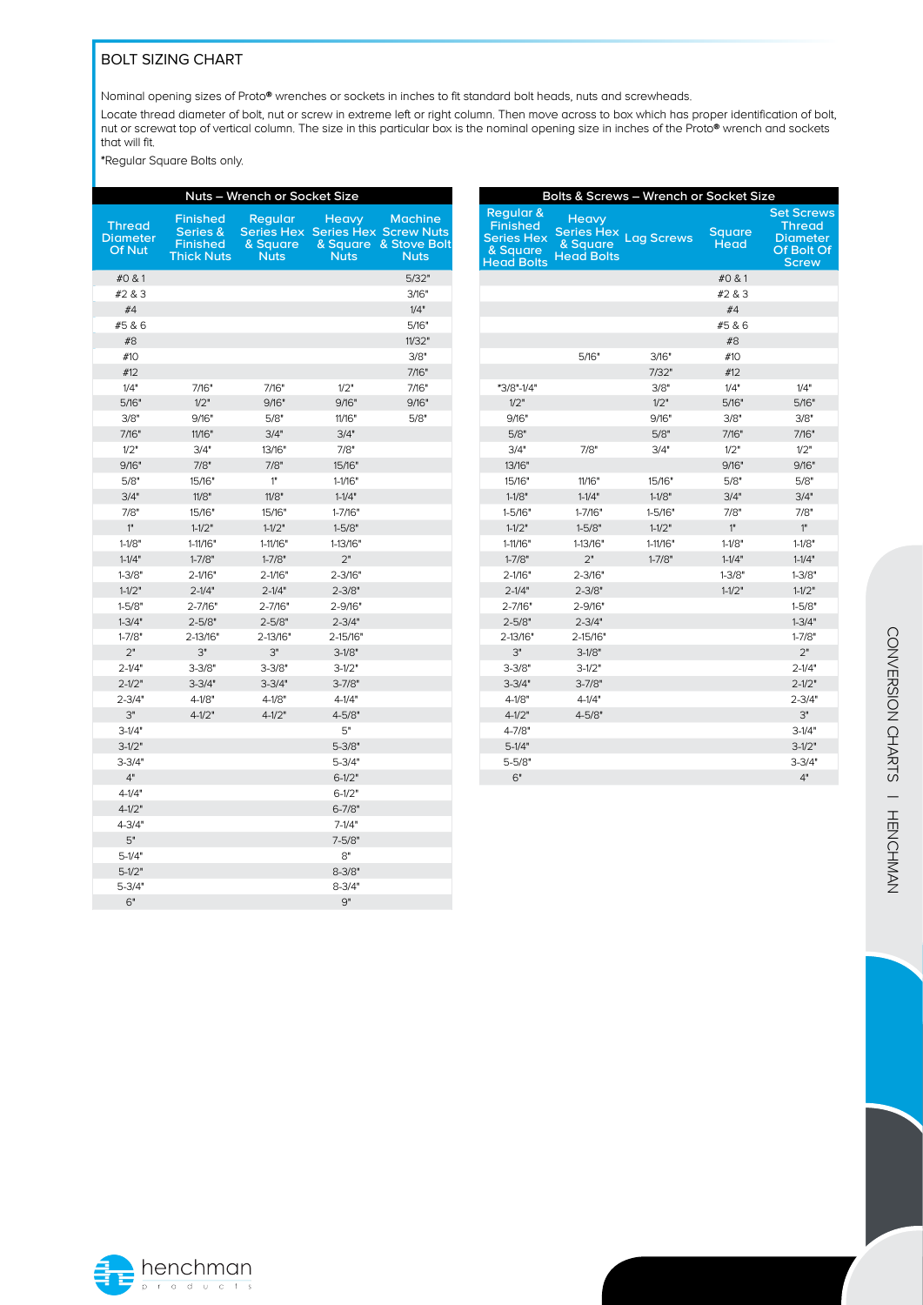### BOLT SIZING CHART

Nominal opening sizes of Proto® wrenches or sockets in inches to fit standard bolt heads, nuts and screwheads.

Locate thread diameter of bolt, nut or screw in extreme left or right column. Then move across to box which has proper identification of bolt, nut or screwat top of vertical column. The size in this particular box is the nominal opening size in inches of the Proto® wrench and sockets that will fit.

\*Regular Square Bolts only.

|                                                   |                                                                     | Nuts - Wrench or Socket Size |                                         |                                                                                          |
|---------------------------------------------------|---------------------------------------------------------------------|------------------------------|-----------------------------------------|------------------------------------------------------------------------------------------|
| <b>Thread</b><br><b>Diameter</b><br><b>Of Nut</b> | <b>Finished</b><br>Series &<br><b>Finished</b><br><b>Thick Nuts</b> | Regular<br>& Square<br>Nuts  | <b>Heavy</b><br>& Square<br><b>Nuts</b> | <b>Machine</b><br><b>Series Hex Series Hex Screw Nuts</b><br>& Stove Bolt<br><b>Nuts</b> |
| #0 & 1                                            |                                                                     |                              |                                         | 5/32"                                                                                    |
| #2 & 3                                            |                                                                     |                              |                                         | 3/16"                                                                                    |
| #4                                                |                                                                     |                              |                                         | 1/4"                                                                                     |
| #5 & 6                                            |                                                                     |                              |                                         | 5/16"                                                                                    |
| #8                                                |                                                                     |                              |                                         | 11/32"                                                                                   |
| #10                                               |                                                                     |                              |                                         | 3/8"                                                                                     |
| #12                                               |                                                                     |                              |                                         | 7/16"                                                                                    |
| 1/4"                                              | 7/16"                                                               | 7/16"                        | 1/2"                                    | 7/16"                                                                                    |
| 5/16"                                             | 1/2"                                                                | 9/16"                        | 9/16"                                   | 9/16"                                                                                    |
| 3/8"                                              | 9/16"                                                               | 5/8"                         | 11/16"                                  | 5/8"                                                                                     |
| 7/16"                                             | 11/16"                                                              | 3/4"                         | 3/4"                                    |                                                                                          |
| 1/2"                                              | 3/4"                                                                | 13/16"                       | 7/8"                                    |                                                                                          |
| 9/16"                                             | 7/8"                                                                | 7/8"                         | 15/16"                                  |                                                                                          |
| 5/8"                                              | 15/16"                                                              | 1"                           | $1-1/16"$                               |                                                                                          |
| 3/4"                                              | 11/8"                                                               | 11/8"                        | $1 - 1/4"$                              |                                                                                          |
| 7/8"                                              | 15/16"                                                              | 15/16"                       | $1 - 7/16"$                             |                                                                                          |
| 1"                                                | $1 - 1/2"$                                                          | $1 - 1/2"$                   | $1 - 5/8"$                              |                                                                                          |
| $1 - 1/8"$                                        | 1-11/16"                                                            | 1-11/16"                     | 1-13/16"                                |                                                                                          |
| $1 - 1/4"$                                        | $1 - 7/8"$                                                          | $1 - 7/8"$                   | 2"                                      |                                                                                          |
| $1 - 3/8"$                                        | $2 - 1/16"$                                                         | $2 - 1/16"$                  | $2 - 3/16"$                             |                                                                                          |
| $1 - 1/2"$                                        | $2 - 1/4"$                                                          | $2 - 1/4"$                   | $2 - 3/8"$                              |                                                                                          |
| $1 - 5/8"$                                        | 2-7/16"                                                             | 2-7/16"                      | $2 - 9/16"$                             |                                                                                          |
| $1 - 3/4"$                                        | $2 - 5/8"$                                                          | $2 - 5/8"$                   | $2 - 3/4"$                              |                                                                                          |
| $1 - 7/8"$                                        | 2-13/16"                                                            | 2-13/16"                     | 2-15/16"                                |                                                                                          |
| 2"                                                | 3"                                                                  | 3"                           | $3-1/8"$                                |                                                                                          |
| $2 - 1/4"$                                        | $3 - 3/8"$                                                          | $3 - 3/8"$                   | $3-1/2"$                                |                                                                                          |
| $2 - 1/2"$                                        | $3 - 3/4"$                                                          | $3 - 3/4"$                   | $3 - 7/8"$                              |                                                                                          |
| $2 - 3/4"$                                        | $4 - 1/8"$                                                          | $4 - 1/8"$                   | $4 - 1/4"$                              |                                                                                          |
| 3"                                                | $4 - 1/2"$                                                          | $4 - 1/2"$                   | $4 - 5/8"$                              |                                                                                          |
| $3-1/4"$                                          |                                                                     |                              | 5"                                      |                                                                                          |
| $3-1/2"$                                          |                                                                     |                              | $5 - 3/8"$                              |                                                                                          |
| $3 - 3/4"$                                        |                                                                     |                              | $5 - 3/4"$                              |                                                                                          |
| 4"                                                |                                                                     |                              | $6 - 1/2"$                              |                                                                                          |
| $4 - 1/4"$                                        |                                                                     |                              | $6 - 1/2"$                              |                                                                                          |
| $4 - 1/2"$                                        |                                                                     |                              | $6 - 7/8"$                              |                                                                                          |
| $4 - 3/4"$                                        |                                                                     |                              | $7-1/4"$                                |                                                                                          |
| 5"                                                |                                                                     |                              | $7 - 5/8"$                              |                                                                                          |
| $5-1/4"$                                          |                                                                     |                              | 8"                                      |                                                                                          |
| $5-1/2"$                                          |                                                                     |                              | $8 - 3/8"$                              |                                                                                          |
| $5 - 3/4"$                                        |                                                                     |                              | $8 - 3/4"$                              |                                                                                          |
| 6"                                                |                                                                     |                              | 9"                                      |                                                                                          |

|                                                                                    |                                                                    | Bolts & Screws - Wrench or Socket Size |                       |                                                                                     |
|------------------------------------------------------------------------------------|--------------------------------------------------------------------|----------------------------------------|-----------------------|-------------------------------------------------------------------------------------|
| Regular &<br><b>Finished</b><br><b>Series Hex</b><br>& Square<br><b>Head Bolts</b> | <b>Heavy</b><br><b>Series Hex</b><br>& Square<br><b>Head Bolts</b> | <b>Lag Screws</b>                      | <b>Square</b><br>Head | <b>Set Screws</b><br><b>Thread</b><br><b>Diameter</b><br>Of Bolt Of<br><b>Screw</b> |
|                                                                                    |                                                                    |                                        | #0 & 1                |                                                                                     |
|                                                                                    |                                                                    |                                        | #2 & 3                |                                                                                     |
|                                                                                    |                                                                    |                                        | #4                    |                                                                                     |
|                                                                                    |                                                                    |                                        | #5 & 6                |                                                                                     |
|                                                                                    |                                                                    |                                        | #8                    |                                                                                     |
|                                                                                    | 5/16"                                                              | 3/16"                                  | #10                   |                                                                                     |
|                                                                                    |                                                                    | 7/32"                                  | #12                   |                                                                                     |
| *3/8"-1/4"                                                                         |                                                                    | 3/8"                                   | 1/4"                  | 1/4"                                                                                |
| 1/2"                                                                               |                                                                    | 1/2"                                   | 5/16"                 | 5/16"                                                                               |
| 9/16"                                                                              |                                                                    | 9/16"                                  | 3/8"                  | 3/8"                                                                                |
| 5/8"                                                                               |                                                                    | 5/8"                                   | 7/16"                 | 7/16"                                                                               |
| 3/4"                                                                               | 7/8"                                                               | 3/4"                                   | 1/2"                  | 1/2"                                                                                |
| 13/16"                                                                             |                                                                    |                                        | 9/16"                 | 9/16"                                                                               |
| 15/16"                                                                             | 11/16"                                                             | 15/16"                                 | 5/8"                  | 5/8"                                                                                |
| $1 - 1/8"$                                                                         | $1 - 1/4"$                                                         | $1 - 1/8"$                             | 3/4"                  | 3/4"                                                                                |
| $1 - 5/16"$                                                                        | $1 - 7/16"$                                                        | 1-5/16"                                | 7/8"                  | 7/8"                                                                                |
| $1 - 1/2"$                                                                         | $1 - 5/8"$                                                         | $1 - 1/2"$                             | 1"                    | 1 <sup>n</sup>                                                                      |
| 1-11/16"                                                                           | 1-13/16"                                                           | 1-11/16"                               | $1 - 1/8"$            | $1-1/8"$                                                                            |
| $1 - 7/8"$                                                                         | 2"                                                                 | $1 - 7/8"$                             | $1 - 1/4"$            | $1 - 1/4"$                                                                          |
| 2-1/16"                                                                            | 2-3/16"                                                            |                                        | $1 - 3/8"$            | $1 - 3/8"$                                                                          |
| $2 - 1/4"$                                                                         | $2 - 3/8"$                                                         |                                        | $1 - 1/2"$            | $1 - 1/2"$                                                                          |
| $2 - 7/16"$                                                                        | 2-9/16"                                                            |                                        |                       | $1 - 5/8"$                                                                          |
| $2 - 5/8"$                                                                         | $2 - 3/4"$                                                         |                                        |                       | $1 - 3/4"$                                                                          |
| 2-13/16"                                                                           | 2-15/16"                                                           |                                        |                       | $1 - 7/8"$                                                                          |
| 3"                                                                                 | $3-1/8"$                                                           |                                        |                       | 2"                                                                                  |
| $3 - 3/8"$                                                                         | $3-1/2"$                                                           |                                        |                       | $2 - 1/4"$                                                                          |
| $3 - 3/4"$                                                                         | $3 - 7/8"$                                                         |                                        |                       | $2 - 1/2"$                                                                          |
| $4 - 1/8"$                                                                         | $4 - 1/4"$                                                         |                                        |                       | $2 - 3/4"$                                                                          |
| $4 - 1/2"$                                                                         | $4 - 5/8"$                                                         |                                        |                       | 3"                                                                                  |
| 4-7/8"                                                                             |                                                                    |                                        |                       | $3-1/4"$                                                                            |
| $5-1/4"$                                                                           |                                                                    |                                        |                       | $3-1/2"$                                                                            |
| $5 - 5/8"$                                                                         |                                                                    |                                        |                       | $3 - 3/4"$                                                                          |
| 6"                                                                                 |                                                                    |                                        |                       | 4"                                                                                  |
|                                                                                    |                                                                    |                                        |                       |                                                                                     |

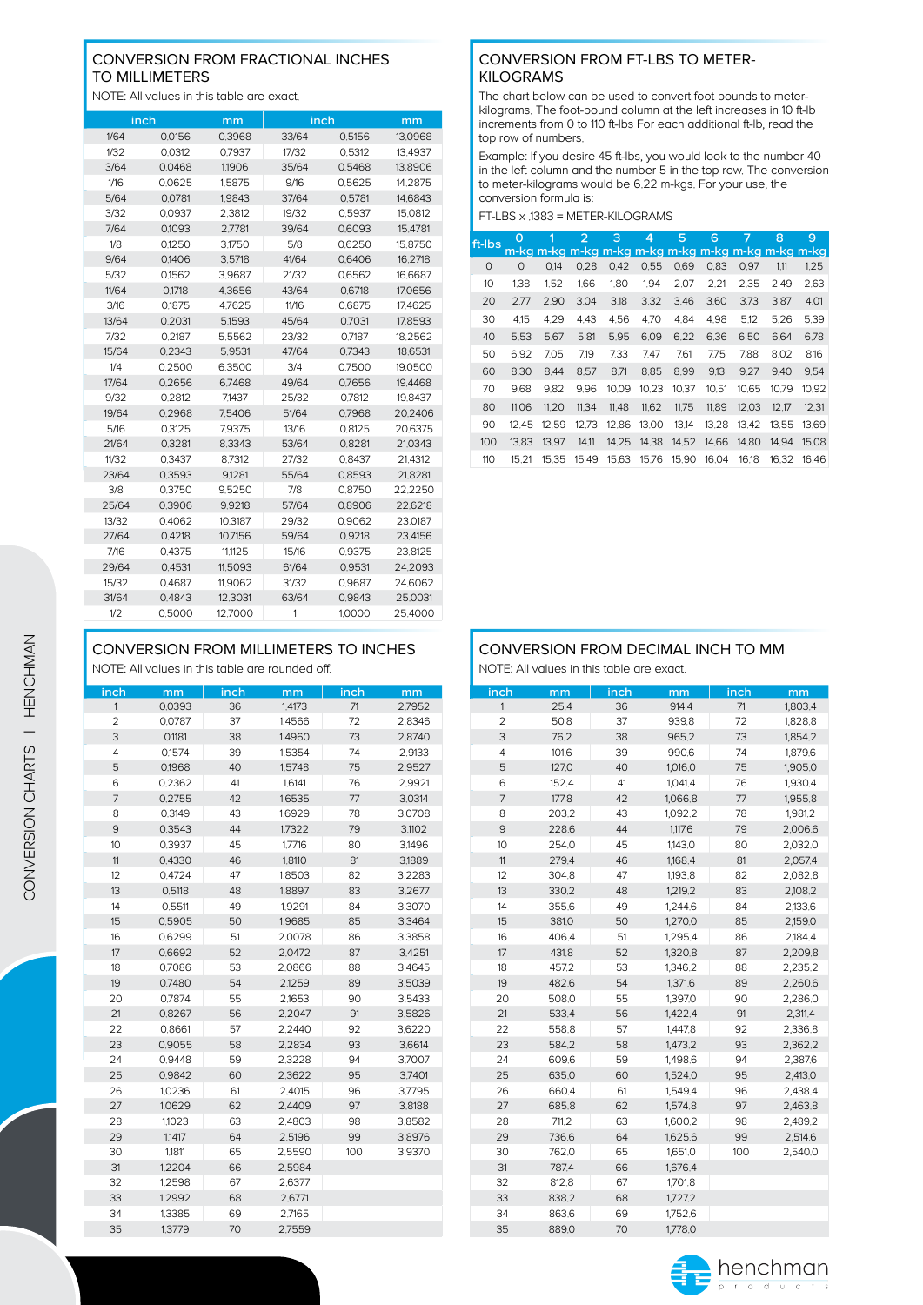### CONVERSION FROM FRACTIONAL INCHES TO MILLIMETERS

NOTE: All values in this table are exact.

|       | inch   | mm      | inch  |        | mm       |
|-------|--------|---------|-------|--------|----------|
| 1/64  | 0.0156 | 03968   | 33/64 | 0.5156 | 13.0968  |
| 1/32  | 0.0312 | 0.7937  | 17/32 | 0.5312 | 13.4937  |
| 3/64  | 0.0468 | 1.1906  | 35/64 | 0.5468 | 13.8906  |
| 1/16  | 0.0625 | 1.5875  | 9/16  | 0.5625 | 14.2875  |
| 5/64  | 0.0781 | 1.9843  | 37/64 | 0.5781 | 146843   |
| 3/32  | 0.0937 | 2.3812  | 19/32 | 0.5937 | 15.0812  |
| 7/64  | 0.1093 | 2.7781  | 39/64 | 0.6093 | 15.4781  |
| 1/8   | 0.1250 | 3.1750  | 5/8   | 0.6250 | 15.8750  |
| 9/64  | 0.1406 | 3.5718  | 41/64 | 0.6406 | 16.2718  |
| 5/32  | 0.1562 | 3.9687  | 21/32 | 0.6562 | 16.6687  |
| 11/64 | 0.1718 | 4.3656  | 43/64 | 0.6718 | 17.0656  |
| 3/16  | 01875  | 47625   | 11/16 | 06875  | 174625   |
| 13/64 | 0.2031 | 5.1593  | 45/64 | 0.7031 | 17.8593  |
| 7/32  | 0 2187 | 55562   | 23/32 | 07187  | 18 25 62 |
| 15/64 | 0.2343 | 5.9531  | 47/64 | 0.7343 | 18.6531  |
| 1/4   | 02500  | 63500   | 3/4   | 07500  | 190500   |
| 17/64 | 0.2656 | 6.7468  | 49/64 | 0.7656 | 19.4468  |
| 9/32  | 0.2812 | 71437   | 25/32 | 0.7812 | 198437   |
| 19/64 | 0.2968 | 7.5406  | 51/64 | 0.7968 | 20.2406  |
| 5/16  | 0.3125 | 7.9375  | 13/16 | 0.8125 | 20.6375  |
| 21/64 | 0.3281 | 8.3343  | 53/64 | 0.8281 | 21.0343  |
| 11/32 | 0.3437 | 8.7312  | 27/32 | 0.8437 | 21.4312  |
| 23/64 | 0.3593 | 9.1281  | 55/64 | 0.8593 | 21.8281  |
| 3/8   | 0.3750 | 9.5250  | 7/8   | 0.8750 | 22.2250  |
| 25/64 | 0.3906 | 9.9218  | 57/64 | 0.8906 | 22.6218  |
| 13/32 | 0.4062 | 10.3187 | 29/32 | 0.9062 | 23.0187  |
| 27/64 | 0.4218 | 10.7156 | 59/64 | 0,9218 | 23.4156  |
| 7/16  | 0.4375 | 11.1125 | 15/16 | 0.9375 | 23.8125  |
| 29/64 | 0.4531 | 11.5093 | 61/64 | 0.9531 | 24.2093  |
| 15/32 | 0.4687 | 11,9062 | 31/32 | 0.9687 | 24.6062  |
| 31/64 | 04843  | 12 3031 | 63/64 | 0.9843 | 250031   |
| 1/2   | 0.5000 | 12.7000 | 1     | 1.0000 | 25.4000  |

### CONVERSION FROM FT-LBS TO METER-KILOGRAMS

The chart below can be used to convert foot pounds to meterkilograms. The foot-pound column at the left increases in 10 ft-lb increments from 0 to 110 ft-lbs For each additional ft-lb, read the top row of numbers.

Example: If you desire 45 ft-lbs, you would look to the number 40 in the left column and the number 5 in the top row. The conversion to meter-kilograms would be 6.22 m-kgs. For your use, the conversion formula is:

| ft-lbs | O       |       | $\overline{2}$ | 3     | 4     | 5     | 6     | 7     | 8     | 9     |
|--------|---------|-------|----------------|-------|-------|-------|-------|-------|-------|-------|
| 0      | $\circ$ | 0.14  | 0.28           | 0.42  | 0.55  | 0.69  | 0.83  | 0.97  | 1.11  | 1.25  |
| 10     | 1.38    | 1.52  | 1.66           | 1.80  | 1.94  | 2.07  | 2.21  | 2.35  | 2.49  | 2.63  |
| 20     | 2.77    | 2.90  | 3.04           | 3.18  | 3.32  | 3.46  | 3.60  | 3.73  | 3.87  | 4.01  |
| 30     | 4.15    | 4.29  | 4.43           | 4.56  | 4.70  | 4.84  | 4.98  | 5.12  | 5.26  | 5.39  |
| 40     | 5.53    | 5.67  | 5.81           | 5.95  | 6.09  | 6.22  | 6.36  | 6.50  | 6.64  | 6.78  |
| 50     | 6.92    | 7.05  | 7.19           | 7.33  | 7.47  | 7,61  | 7.75  | 7.88  | 8.02  | 8.16  |
| 60     | 8.30    | 8.44  | 8.57           | 8,71  | 8.85  | 8.99  | 9.13  | 9.27  | 9.40  | 9.54  |
| 70     | 9.68    | 9.82  | 9.96           | 10.09 | 10.23 | 10.37 | 10.51 | 10.65 | 10.79 | 10.92 |
| 80     | 11.06   | 11.20 | 11.34          | 11.48 | 11,62 | 11.75 | 11.89 | 12.03 | 12.17 | 12.31 |
| 90     | 12.45   | 12.59 | 12.73          | 12.86 | 13.00 | 13.14 | 13.28 | 13.42 | 13.55 | 13.69 |
| 100    | 13.83   | 13.97 | 14.11          | 14.25 | 14.38 | 14.52 | 14.66 | 14.80 | 14.94 | 15.08 |
| 110    | 15.21   | 15.35 | 15.49          | 15.63 | 15.76 | 15.90 | 16.04 | 16.18 | 16.32 | 16.46 |

### CONVERSION FROM MILLIMETERS TO INCHES

NOTE: All values in this table are rounded off.

| inch           | mm     | <b>inch</b> | mm     | inch | mm     |
|----------------|--------|-------------|--------|------|--------|
| 1              | 0.0393 | 36          | 1.4173 | 71   | 2.7952 |
| $\overline{c}$ | 0.0787 | 37          | 1.4566 | 72   | 2.8346 |
| 3              | 0.1181 | 38          | 1.4960 | 73   | 2.8740 |
| 4              | 0.1574 | 39          | 1.5354 | 74   | 2.9133 |
| 5              | 0.1968 | 40          | 1.5748 | 75   | 2.9527 |
| 6              | 0.2362 | 41          | 1.6141 | 76   | 2.9921 |
| $\overline{7}$ | 0.2755 | 42          | 1.6535 | 77   | 3.0314 |
| 8              | 0.3149 | 43          | 1.6929 | 78   | 3.0708 |
| 9              | 0.3543 | 44          | 1.7322 | 79   | 3.1102 |
| 10             | 0.3937 | 45          | 1.7716 | 80   | 3.1496 |
| $11$           | 0.4330 | 46          | 1.8110 | 81   | 3,1889 |
| 12             | 0.4724 | 47          | 1.8503 | 82   | 3.2283 |
| 13             | 0.5118 | 48          | 1.8897 | 83   | 3.2677 |
| 14             | 0.5511 | 49          | 1.9291 | 84   | 3.3070 |
| 15             | 0.5905 | 50          | 1.9685 | 85   | 3.3464 |
| 16             | 0.6299 | 51          | 2.0078 | 86   | 3.3858 |
| 17             | 0.6692 | 52          | 2.0472 | 87   | 3.4251 |
| 18             | 0.7086 | 53          | 2.0866 | 88   | 3.4645 |
| 19             | 0.7480 | 54          | 2.1259 | 89   | 3.5039 |
| 20             | 0.7874 | 55          | 2.1653 | 90   | 3.5433 |
| 21             | 0.8267 | 56          | 2.2047 | 91   | 3.5826 |
| 22             | 0.8661 | 57          | 2.2440 | 92   | 3.6220 |
| 23             | 0.9055 | 58          | 2.2834 | 93   | 3.6614 |
| 24             | 0.9448 | 59          | 2.3228 | 94   | 3.7007 |
| 25             | 0.9842 | 60          | 2.3622 | 95   | 3.7401 |
| 26             | 1.0236 | 61          | 2.4015 | 96   | 3.7795 |
| 27             | 1.0629 | 62          | 2.4409 | 97   | 3.8188 |
| 28             | 1,1023 | 63          | 2.4803 | 98   | 3.8582 |
| 29             | 1,1417 | 64          | 2.5196 | 99   | 3.8976 |
| 30             | 1,1811 | 65          | 2.5590 | 100  | 3.9370 |
| 31             | 1.2204 | 66          | 2.5984 |      |        |
| 32             | 1.2598 | 67          | 2.6377 |      |        |
| 33             | 1.2992 | 68          | 2.6771 |      |        |
| 34             | 1.3385 | 69          | 2.7165 |      |        |
| 35             | 1.3779 | 70          | 2.7559 |      |        |

# CONVERSION FROM DECIMAL INCH TO MM

NOTE: All values in this table are exact.

| inch           | mm    | inch | mm      | inch | mm      |
|----------------|-------|------|---------|------|---------|
| $\mathbf{1}$   | 25.4  | 36   | 914.4   | 71   | 1,803.4 |
| $\overline{2}$ | 50.8  | 37   | 939.8   | 72   | 1,828.8 |
| 3              | 76.2  | 38   | 965.2   | 73   | 1,854.2 |
| $\overline{4}$ | 101.6 | 39   | 990.6   | 74   | 1,879.6 |
| 5              | 127.0 | 40   | 1,016.0 | 75   | 1,905.0 |
| 6              | 152.4 | 41   | 1,041.4 | 76   | 1,930.4 |
| $\overline{7}$ | 177.8 | 42   | 1,066.8 | 77   | 1,955.8 |
| 8              | 203.2 | 43   | 1,092.2 | 78   | 1,981.2 |
| 9              | 228.6 | 44   | 1,117.6 | 79   | 2,006.6 |
| 10             | 254.0 | 45   | 1,143.0 | 80   | 2,032.0 |
| 11             | 279.4 | 46   | 1,168.4 | 81   | 2,057.4 |
| 12             | 304.8 | 47   | 1,193.8 | 82   | 2,082.8 |
| 13             | 330.2 | 48   | 1,219.2 | 83   | 2,108.2 |
| 14             | 355.6 | 49   | 1,244.6 | 84   | 2,133.6 |
| 15             | 381.0 | 50   | 1,270.0 | 85   | 2,159.0 |
| 16             | 406.4 | 51   | 1,295.4 | 86   | 2,184.4 |
| 17             | 431.8 | 52   | 1,320.8 | 87   | 2,209.8 |
| 18             | 457.2 | 53   | 1,346.2 | 88   | 2,235.2 |
| 19             | 482.6 | 54   | 1,371.6 | 89   | 2,260.6 |
| 20             | 508.0 | 55   | 1,397.0 | 90   | 2,286.0 |
| 21             | 533.4 | 56   | 1,422.4 | 91   | 2,311.4 |
| 22             | 558.8 | 57   | 1,447.8 | 92   | 2,336.8 |
| 23             | 584.2 | 58   | 1,473.2 | 93   | 2,362.2 |
| 24             | 609.6 | 59   | 1,498.6 | 94   | 2,387.6 |
| 25             | 635.0 | 60   | 1,524.0 | 95   | 2,413.0 |
| 26             | 660.4 | 61   | 1,549.4 | 96   | 2,438.4 |
| 27             | 685.8 | 62   | 1,574.8 | 97   | 2,463.8 |
| 28             | 711.2 | 63   | 1,600.2 | 98   | 2,489.2 |
| 29             | 736.6 | 64   | 1,625.6 | 99   | 2,514.6 |
| 30             | 762.0 | 65   | 1,651.0 | 100  | 2,540.0 |
| 31             | 787.4 | 66   | 1,676.4 |      |         |
| 32             | 812.8 | 67   | 1,701.8 |      |         |
| 33             | 838.2 | 68   | 1,727.2 |      |         |
| 34             | 863.6 | 69   | 1,752.6 |      |         |
| 35             | 889.0 | 70   | 1,778.0 |      |         |

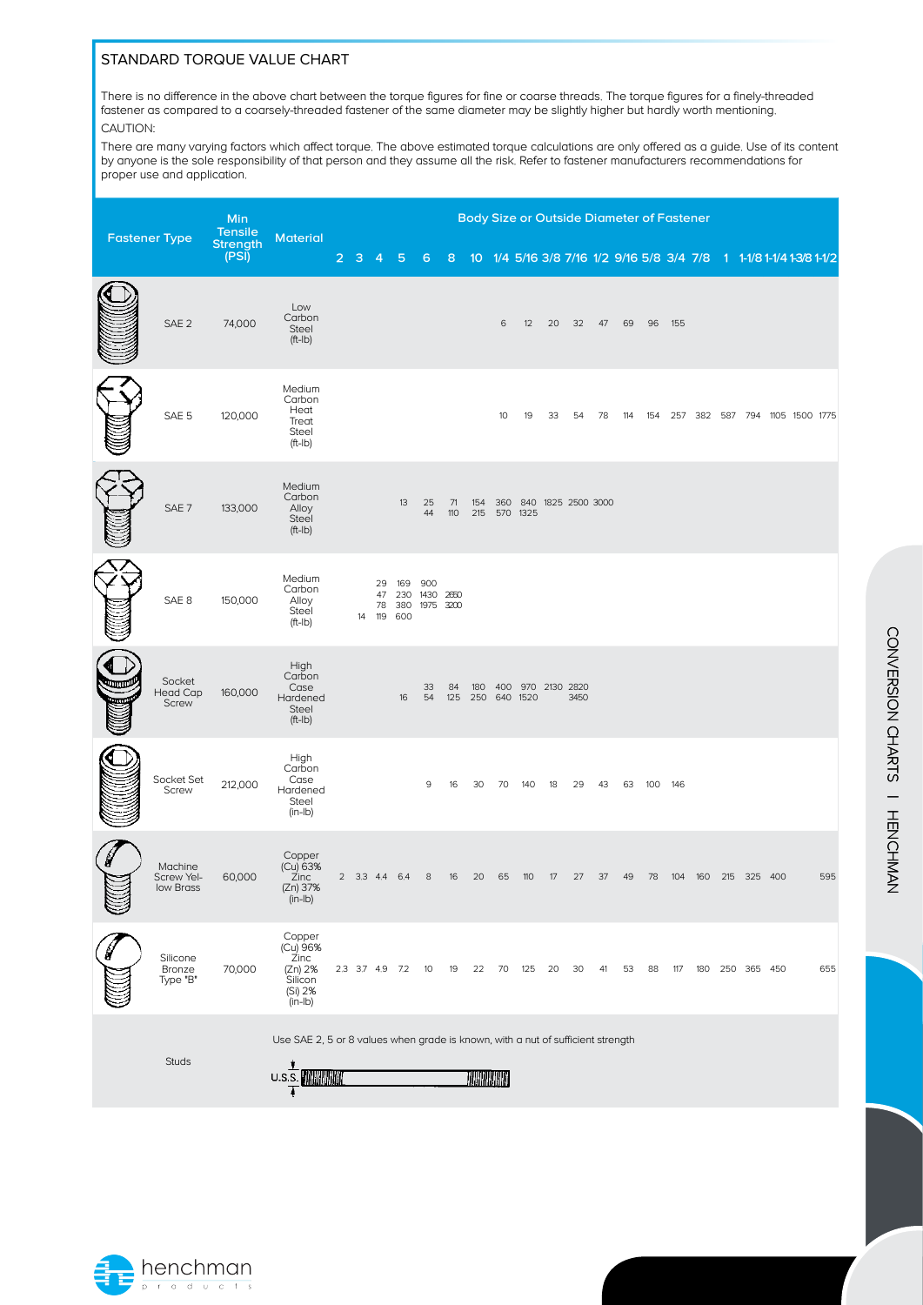### STANDARD TORQUE VALUE CHART

There is no difference in the above chart between the torque figures for fine or coarse threads. The torque figures for a finely-threaded fastener as compared to a coarsely-threaded fastener of the same diameter may be slightly higher but hardly worth mentioning. CAUTION:

There are many varying factors which affect torque. The above estimated torque calculations are only offered as a guide. Use of its content by anyone is the sole responsibility of that person and they assume all the risk. Refer to fastener manufacturers recommendations for proper use and application.

|                      |                                    | Min<br><b>Tensile</b> |                                                                                           |                |                 |                |                                 |                               |           |                  |    | <b>Body Size or Outside Diameter of Fastener</b> |    |      |     |     |         |     |  |                                                                     |  |     |
|----------------------|------------------------------------|-----------------------|-------------------------------------------------------------------------------------------|----------------|-----------------|----------------|---------------------------------|-------------------------------|-----------|------------------|----|--------------------------------------------------|----|------|-----|-----|---------|-----|--|---------------------------------------------------------------------|--|-----|
| <b>Fastener Type</b> |                                    | Strength<br>(PSI)     | <b>Material</b>                                                                           | $\overline{2}$ | з               | 4              | 5                               | 6                             | 8         |                  |    |                                                  |    |      |     |     |         |     |  | 10 1/4 5/16 3/8 7/16 1/2 9/16 5/8 3/4 7/8 1 1-1/8 1-1/4 1-3/8 1-1/2 |  |     |
|                      | SAE <sub>2</sub>                   | 74,000                | Low<br>Carbon<br>Steel<br>$(ft$ -Ib $)$                                                   |                |                 |                |                                 |                               |           |                  | 6  | 12                                               | 20 | 32   | 47  | 69  | 96      | 155 |  |                                                                     |  |     |
|                      | SAE 5                              | 120,000               | Medium<br>Carbon<br>Heat<br>Treat<br>Steel<br>$(ft-lb)$                                   |                |                 |                |                                 |                               |           |                  | 10 | 19                                               | 33 | 54   | 78  | 114 |         |     |  | 154 257 382 587 794 1105 1500 1775                                  |  |     |
|                      | SAE <sub>7</sub>                   | 133,000               | Medium<br>Carbon<br>Alloy<br>Steel<br>$(ft$ -Ib $)$                                       |                |                 |                | 13                              | 25<br>44                      | 71<br>110 | 154<br>215       |    | 360 840 1825 2500 3000<br>570 1325               |    |      |     |     |         |     |  |                                                                     |  |     |
|                      | SAE <sub>8</sub>                   | 150,000               | Medium<br>Carbon<br>Alloy<br>Steel<br>$(ft-lb)$                                           |                |                 | 29<br>47<br>78 | 169<br>230<br>380<br>14 119 600 | 900<br>1430 2650<br>1975 3200 |           |                  |    |                                                  |    |      |     |     |         |     |  |                                                                     |  |     |
|                      | Socket<br><b>Head Cap</b><br>Screw | 160,000               | High<br>Carbon<br>Case<br>Hardened<br>Steel<br>$(ft$ -Ib $)$                              |                |                 |                | 16                              | 33<br>54                      | 84<br>125 | 180              |    | 400 970 2130 2820<br>250 640 1520                |    | 3450 |     |     |         |     |  |                                                                     |  |     |
|                      | Socket Set<br>Screw                | 212,000               | High<br>Carbon<br>Case<br>Hardened<br>Steel<br>$(in-lb)$                                  |                |                 |                |                                 | 9                             | 16        | 30               | 70 | 140                                              | 18 | 29   | 43  | 63  | 100 146 |     |  |                                                                     |  |     |
|                      | Machine<br>Screw Yel-<br>low Brass | 60,000                | Copper<br>(Cu) 63%<br>Zinc<br>(Zn) 37%<br>$(in-lb)$                                       |                | 2 3.3 4.4 6.4   |                |                                 | 8                             | 16        | 20               | 65 | 110                                              | 17 | 27   | 37  | 49  | 78      |     |  | 104 160 215 325 400                                                 |  | 595 |
|                      | Silicone<br>Bronze<br>Type "B"     | 70,000                | Copper<br>(Cu) 96%<br>Zinc<br>(Zn) 2%<br>Silicon<br>(Si) 2%<br>$(in-lb)$                  |                | 2.3 3.7 4.9 7.2 |                |                                 | 10                            | 19        | 22               | 70 | 125 20                                           |    | 30   | -41 | 53  | 88      |     |  | 117 180 250 365 450                                                 |  | 655 |
|                      | <b>Studs</b>                       |                       | Use SAE 2, 5 or 8 values when grade is known, with a nut of sufficient strength<br>U.S.S. |                |                 |                |                                 |                               |           | <b>MARIA AND</b> |    |                                                  |    |      |     |     |         |     |  |                                                                     |  |     |

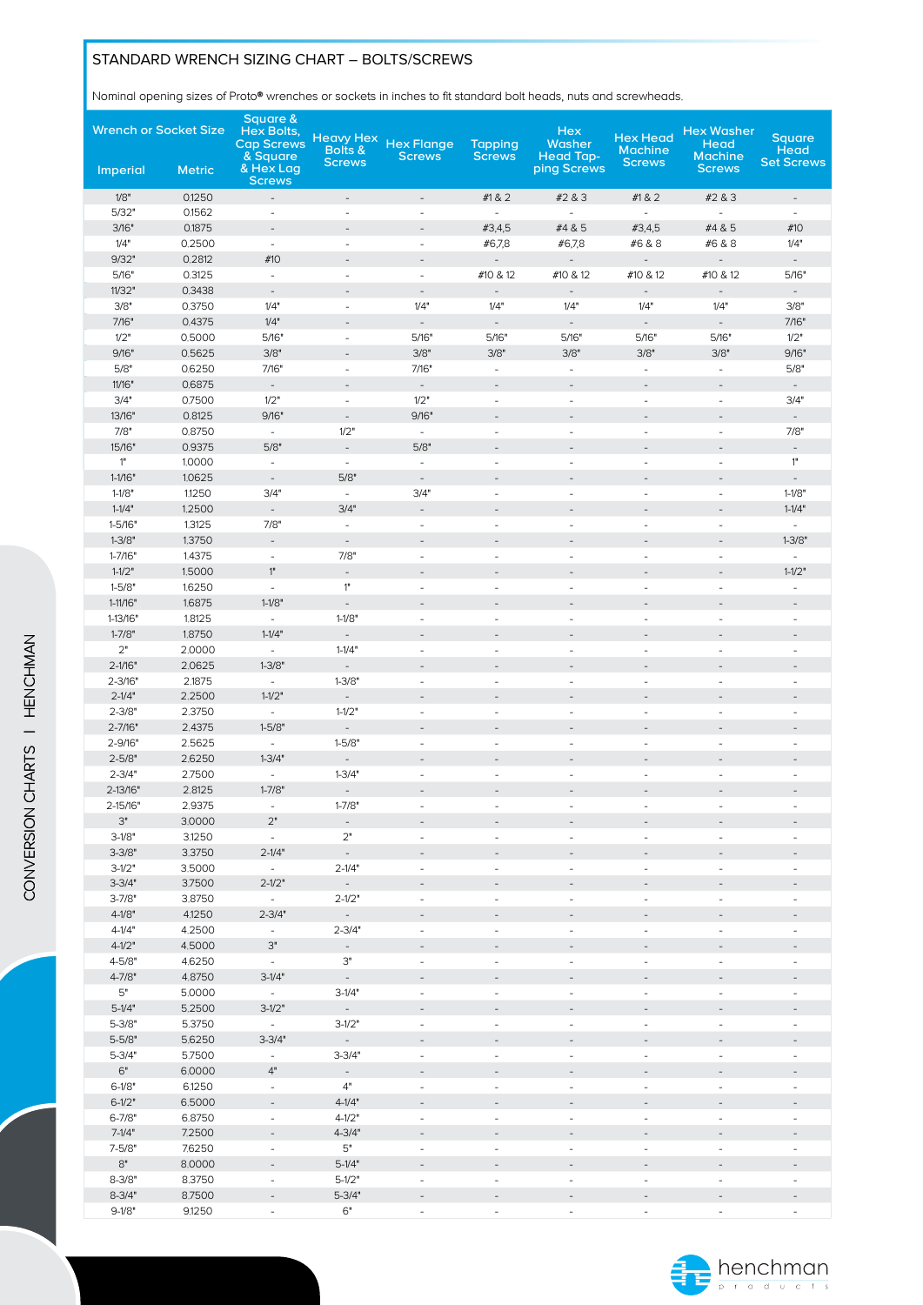### STANDARD WRENCH SIZING CHART – BOLTS/SCREWS

Nominal opening sizes of Proto® wrenches or sockets in inches to fit standard bolt heads, nuts and screwheads.

| <b>Wrench or Socket Size</b> |                  | <b>Square &amp;</b><br><b>Hex Bolts,</b><br><b>Cap Screws</b> | <b>Heavy Hex</b><br>Bolts &            | <b>Hex Flange</b>        | <b>Tapping</b>               | <b>Hex</b><br>Washer            | <b>Hex Head</b><br><b>Machine</b> | <b>Hex Washer</b><br>Head<br><b>Machine</b> | <b>Square</b><br><b>Head</b>                         |
|------------------------------|------------------|---------------------------------------------------------------|----------------------------------------|--------------------------|------------------------------|---------------------------------|-----------------------------------|---------------------------------------------|------------------------------------------------------|
| Imperial                     | <b>Metric</b>    | & Square<br>& Hex Lag<br><b>Screws</b>                        | <b>Screws</b>                          | <b>Screws</b>            | <b>Screws</b>                | <b>Head Tap-</b><br>ping Screws | <b>Screws</b>                     | <b>Screws</b>                               | <b>Set Screws</b>                                    |
| 1/8"                         | 0.1250           | $\overline{\phantom{a}}$                                      | $\overline{\phantom{a}}$               | $\overline{\phantom{a}}$ | #1&2                         | #2 & 3                          | #1&2                              | #2 & 3                                      | $\overline{\phantom{a}}$                             |
| 5/32"                        | 0.1562           | $\overline{\phantom{a}}$                                      | $\sim$                                 | ÷,                       | $\overline{\phantom{a}}$     | $\equiv$                        | $\omega$                          | $\bar{a}$                                   | $\omega$                                             |
| 3/16"                        | 0.1875           | $\overline{\phantom{a}}$                                      | $\overline{\phantom{a}}$               | $\overline{a}$           | #3,4,5                       | #4 & 5                          | #3,4,5                            | #4 & 5                                      | #10                                                  |
| 1/4"                         | 0.2500           | $\overline{\phantom{a}}$                                      | $\overline{\phantom{a}}$               | $\blacksquare$           | #6,7,8                       | #6,7,8                          | #6 & 8                            | #6 & 8                                      | 1/4"                                                 |
| 9/32"                        | 0.2812           | #10                                                           | $\overline{a}$                         | $\overline{\phantom{a}}$ | $\overline{\phantom{a}}$     | $\overline{\phantom{a}}$        | $\qquad \qquad -$                 | $\overline{\phantom{a}}$                    | $\overline{\phantom{a}}$                             |
| 5/16"                        | 0.3125           | $\overline{\phantom{a}}$                                      | $\overline{\phantom{a}}$               | $\blacksquare$           | #10 & 12                     | #10 & 12                        | #10 & 12                          | #10 & 12                                    | 5/16"                                                |
| 11/32"                       | 0.3438           | $\overline{\phantom{a}}$                                      | $\overline{\phantom{a}}$               | $\overline{\phantom{a}}$ | $\qquad \qquad \blacksquare$ | $\overline{\phantom{a}}$        | $\overline{\phantom{a}}$          | $\overline{\phantom{a}}$                    | $\overline{\phantom{a}}$                             |
| 3/8"                         | 0.3750           | 1/4"                                                          | $\overline{\phantom{a}}$               | 1/4"                     | 1/4"                         | 1/4"                            | 1/4"                              | 1/4"                                        | 3/8"                                                 |
| 7/16"<br>1/2"                | 0.4375<br>0.5000 | 1/4"                                                          |                                        | $\overline{a}$           | $\blacksquare$               |                                 | $\qquad \qquad \blacksquare$      | $\frac{1}{2}$                               | 7/16"                                                |
| 9/16"                        | 0.5625           | 5/16"<br>3/8"                                                 | $\overline{\phantom{a}}$<br>÷          | 5/16"<br>3/8"            | 5/16"<br>3/8"                | 5/16"<br>3/8"                   | 5/16"<br>3/8"                     | 5/16"<br>3/8"                               | 1/2"<br>9/16"                                        |
| 5/8"                         | 0.6250           | 7/16"                                                         | $\overline{\phantom{a}}$               | 7/16"                    | $\overline{\phantom{a}}$     | $\blacksquare$                  | $\overline{\phantom{a}}$          | $\bar{\phantom{a}}$                         | 5/8"                                                 |
| 11/16"                       | 0.6875           | $\overline{\phantom{a}}$                                      | $\overline{\phantom{a}}$               | $\overline{\phantom{a}}$ | $\overline{\phantom{a}}$     | $\overline{\phantom{a}}$        | $\qquad \qquad -$                 | $\overline{\phantom{a}}$                    | $\overline{\phantom{a}}$                             |
| 3/4"                         | 0.7500           | 1/2"                                                          | $\omega$                               | 1/2"                     | $\bar{\phantom{a}}$          | $\blacksquare$                  | $\sim$                            | $\bar{\phantom{a}}$                         | 3/4"                                                 |
| 13/16"                       | 0.8125           | 9/16"                                                         | $\overline{\phantom{a}}$               | 9/16"                    | $\overline{\phantom{a}}$     | $\overline{\phantom{a}}$        | $\overline{\phantom{a}}$          | $\overline{\phantom{a}}$                    | $\overline{\phantom{a}}$                             |
| 7/8"                         | 0.8750           | $\omega$                                                      | 1/2"                                   | $\equiv$                 | $\overline{\phantom{a}}$     | ÷,                              | $\blacksquare$                    | ä,                                          | 7/8"                                                 |
| 15/16"                       | 0.9375           | 5/8"                                                          | $\blacksquare$                         | 5/8"                     | $\overline{a}$               | $\overline{a}$                  | $\overline{\phantom{a}}$          | $\qquad \qquad \blacksquare$                | $\overline{\phantom{a}}$                             |
| 1"                           | 1.0000           | $\overline{\phantom{a}}$                                      | $\overline{\phantom{a}}$               | $\overline{\phantom{a}}$ | $\overline{\phantom{m}}$     | $\blacksquare$                  | $\overline{\phantom{a}}$          | $\overline{\phantom{a}}$                    | 1"                                                   |
| $1 - 1/16"$                  | 1.0625           | $\overline{\phantom{a}}$                                      | 5/8"                                   | $\overline{\phantom{a}}$ |                              | $\overline{\phantom{a}}$        |                                   | $\overline{\phantom{a}}$                    | $\overline{\phantom{a}}$                             |
| $1 - 1/8"$                   | 1.1250           | 3/4"                                                          | $\overline{\phantom{a}}$               | 3/4"                     | $\blacksquare$               | $\blacksquare$                  | $\qquad \qquad \blacksquare$      | $\blacksquare$                              | $1 - 1/8"$                                           |
| $1 - 1/4"$                   | 1.2500           | $\overline{\phantom{a}}$                                      | 3/4"                                   | $\overline{\phantom{a}}$ | $\overline{\phantom{m}}$     | $\overline{\phantom{a}}$        | $\overline{\phantom{a}}$          | $\overline{\phantom{a}}$                    | $1 - 1/4"$                                           |
| $1 - 5/16"$                  | 1.3125           | 7/8"                                                          | $\overline{\phantom{a}}$               | $\blacksquare$           | $\blacksquare$               | ÷,                              | $\blacksquare$                    | ä,                                          | $\omega$                                             |
| $1 - 3/8"$                   | 1.3750           | $\overline{\phantom{a}}$                                      | $\overline{\phantom{a}}$               | $\overline{a}$           |                              | $\qquad \qquad -$               |                                   | $\overline{\phantom{m}}$                    | $1 - 3/8"$                                           |
| $1 - 7/16"$                  | 1.4375           | $\overline{\phantom{a}}$                                      | 7/8"                                   | ÷,                       | ä,                           | ä,                              | $\overline{\phantom{a}}$          | ä,                                          | $\omega$                                             |
| $1 - 1/2"$                   | 1.5000           | 1"                                                            | $\overline{\phantom{a}}$               | $\overline{a}$           | $\overline{a}$               | $\qquad \qquad \blacksquare$    | $\overline{\phantom{m}}$          | $\qquad \qquad \blacksquare$                | $1 - 1/2"$                                           |
| $1 - 5/8"$                   | 1.6250           | $\overline{\phantom{a}}$                                      | 1"                                     | $\blacksquare$           | $\overline{\phantom{a}}$     | $\blacksquare$                  | $\frac{1}{2}$                     | $\blacksquare$                              | $\overline{\phantom{a}}$                             |
| 1-11/16"                     | 1.6875           | $1 - 1/8"$                                                    | $\overline{\phantom{a}}$               | $\overline{\phantom{a}}$ | $\overline{\phantom{a}}$     | $\overline{\phantom{a}}$        | $\overline{\phantom{a}}$          | $\overline{\phantom{a}}$                    | $\overline{\phantom{a}}$                             |
| 1-13/16"                     | 1.8125           | $\omega$                                                      | $1 - 1/8"$                             | ÷,                       | $\overline{\phantom{a}}$     | L.                              | $\blacksquare$                    | $\Box$                                      | $\bar{\phantom{a}}$                                  |
| $1 - 7/8"$                   | 1.8750           | $1 - 1/4"$                                                    | $\overline{\phantom{a}}$               | $\qquad \qquad -$        | $\overline{a}$               | $\qquad \qquad \blacksquare$    | $\overline{\phantom{m}}$          | $\qquad \qquad -$                           |                                                      |
| 2"                           | 2.0000           | $\overline{\phantom{a}}$                                      | $1 - 1/4"$                             | $\blacksquare$           | ÷,                           | $\blacksquare$                  | $\frac{1}{2}$                     | $\blacksquare$                              | $\overline{\phantom{a}}$                             |
| $2 - 1/16"$                  | 2.0625           | $1 - 3/8"$                                                    | $\mathbb{Z}^+$                         | $\overline{a}$           | $\overline{\phantom{a}}$     | $\overline{a}$                  | $\overline{\phantom{m}}$          | $\overline{a}$                              | $\overline{\phantom{a}}$                             |
| $2 - 3/16"$                  | 2.1875           | $\overline{\phantom{a}}$                                      | $1 - 3/8"$                             | $\overline{\phantom{a}}$ | $\overline{\phantom{a}}$     | $\blacksquare$                  | $\overline{\phantom{a}}$          | $\blacksquare$                              | $\overline{\phantom{a}}$                             |
| $2 - 1/4"$<br>$2 - 3/8"$     | 2.2500<br>2.3750 | $1 - 1/2"$<br>$\overline{\phantom{a}}$                        | $\overline{\phantom{a}}$<br>$1 - 1/2"$ | ÷,                       | ÷,<br>$\blacksquare$         | $\Box$                          | $\overline{\phantom{a}}$          | $\overline{a}$<br>$\Box$                    | $\overline{\phantom{a}}$<br>$\overline{\phantom{a}}$ |
| $2 - 7/16"$                  | 2.4375           | $1 - 5/8"$                                                    | $\overline{\phantom{a}}$               | $\qquad \qquad -$        | $\overline{\phantom{a}}$     | $\overline{\phantom{a}}$        | $\qquad \qquad -$                 | $\overline{\phantom{a}}$                    | $\overline{\phantom{a}}$                             |
| 2-9/16"                      | 2.5625           | $\overline{\phantom{a}}$                                      | $1 - 5/8"$                             | ÷,                       | $\blacksquare$               | ÷,                              | $\blacksquare$                    | ÷,                                          | $\omega$                                             |
| $2 - 5/8"$                   | 2.6250           | $1 - 3/4"$                                                    | $\blacksquare$                         |                          |                              |                                 |                                   |                                             | $\overline{\phantom{a}}$                             |
| $2 - 3/4"$                   | 2.7500           | $\blacksquare$                                                | $1 - 3/4"$                             | $\overline{\phantom{a}}$ | $\blacksquare$               | $\blacksquare$                  | $\overline{\phantom{a}}$          | $\blacksquare$                              | $\overline{\phantom{a}}$                             |
| 2-13/16"                     | 2.8125           | $1 - 7/8"$                                                    | $\overline{\phantom{a}}$               |                          |                              |                                 |                                   | ÷,                                          |                                                      |
| 2-15/16"                     | 2.9375           |                                                               | $1 - 7/8"$                             |                          |                              |                                 |                                   |                                             |                                                      |
| З"                           | 3.0000           | 2"                                                            | $\overline{\phantom{a}}$               |                          |                              |                                 |                                   |                                             |                                                      |
| $3-1/8"$                     | 3.1250           | $\sim$                                                        | 2"                                     | ÷,                       | ÷,                           | ä,                              |                                   | $\omega$                                    | $\omega$                                             |
| $3 - 3/8"$                   | 3.3750           | $2 - 1/4"$                                                    | $\mathbb{Z}^2$                         |                          |                              |                                 |                                   |                                             |                                                      |
| $3-1/2"$                     | 3.5000           | $\sim$                                                        | $2 - 1/4"$                             | $\sim$                   | ä,                           | ä,                              | ÷.                                | $\blacksquare$                              | ÷.                                                   |
| $3 - 3/4"$                   | 3.7500           | $2 - 1/2"$                                                    | $\sim$                                 | $\sim$                   |                              |                                 |                                   | $\overline{a}$                              |                                                      |
| $3 - 7/8"$                   | 3.8750           | $\sim$                                                        | $2 - 1/2"$                             | $\overline{\phantom{a}}$ | $\overline{\phantom{a}}$     | $\overline{\phantom{a}}$        | $\overline{\phantom{a}}$          | $\overline{\phantom{a}}$                    | $\overline{\phantom{a}}$                             |
| $4 - 1/8"$                   | 4.1250           | $2 - 3/4"$                                                    | $\sim$                                 |                          |                              |                                 |                                   |                                             |                                                      |
| $4 - 1/4"$                   | 4.2500           | $\overline{\phantom{a}}$                                      | $2 - 3/4"$                             | $\blacksquare$           | $\overline{\phantom{a}}$     | $\blacksquare$                  | $\overline{\phantom{a}}$          | $\overline{\phantom{a}}$                    | $\overline{\phantom{a}}$                             |
| $4 - 1/2"$                   | 4.5000           | $3"$                                                          | $\sim$                                 |                          |                              |                                 |                                   |                                             |                                                      |
| $4 - 5/8"$                   | 4.6250           | $\sim$                                                        | З"                                     | ÷,                       | $\overline{\phantom{a}}$     |                                 | ÷,                                | $\blacksquare$                              | ä,                                                   |
| $4 - 7/8"$                   | 4.8750           | $3-1/4"$                                                      | $\mathbb{Z}^2$                         | $\overline{\phantom{a}}$ |                              |                                 |                                   | $\qquad \qquad -$                           |                                                      |
| 5"                           | 5.0000           | $\sim$                                                        | $3-1/4"$                               | $\overline{\phantom{a}}$ | $\sim$                       | $\sim$                          | $\sim$                            | $\sim$                                      | $\overline{\phantom{a}}$                             |
| $5-1/4"$                     | 5.2500           | $3-1/2"$                                                      | $\sim$                                 |                          |                              |                                 |                                   | $\overline{\phantom{a}}$                    |                                                      |
| $5 - 3/8"$                   | 5.3750           | $\overline{\phantom{a}}$                                      | $3-1/2"$                               | $\blacksquare$           | $\overline{\phantom{a}}$     | $\blacksquare$                  | $\blacksquare$                    | $\blacksquare$                              | $\overline{\phantom{a}}$                             |
| $5 - 5/8"$                   | 5.6250           | $3 - 3/4"$                                                    | $\omega$                               |                          |                              | ä,                              |                                   |                                             |                                                      |
| $5 - 3/4"$<br>6"             | 5.7500<br>6.0000 | $\overline{\phantom{a}}$<br>4"                                | $3 - 3/4"$                             | $\blacksquare$           | ä,                           |                                 | $\overline{\phantom{a}}$          | ä,                                          | $\overline{\phantom{a}}$                             |
| $6 - 1/8"$                   | 6.1250           | $\overline{\phantom{a}}$                                      | $\overline{\phantom{a}}$<br>4"         | $\sim$                   | $\sim$                       |                                 | $\overline{\phantom{0}}$          | $\sim$                                      | $\overline{\phantom{a}}$                             |
| $6 - 1/2"$                   | 6.5000           | $\overline{\phantom{a}}$                                      | $4 - 1/4"$                             |                          |                              |                                 |                                   |                                             |                                                      |
| $6 - 7/8"$                   | 6.8750           | $\overline{\phantom{a}}$                                      | $4 - 1/2"$                             | $\overline{\phantom{a}}$ | $\overline{\phantom{a}}$     | $\overline{\phantom{a}}$        | $\overline{\phantom{a}}$          | $\overline{\phantom{a}}$                    | $\overline{\phantom{a}}$                             |
| $7-1/4"$                     | 7.2500           |                                                               | $4 - 3/4"$                             |                          |                              |                                 |                                   |                                             |                                                      |
| $7 - 5/8"$                   | 7.6250           | $\overline{\phantom{a}}$                                      | 5"                                     | $\blacksquare$           | $\overline{\phantom{m}}$     | $\blacksquare$                  | $\frac{1}{2}$                     | $\blacksquare$                              | $\overline{\phantom{a}}$                             |
| $8"$                         | 8.0000           |                                                               | $5-1/4"$                               |                          |                              |                                 |                                   |                                             |                                                      |
| $8 - 3/8"$                   | 8.3750           | $\overline{\phantom{a}}$                                      | $5-1/2"$                               | ÷,                       | ä,                           | ä,                              | $\frac{1}{2}$                     | $\blacksquare$                              |                                                      |
| $8 - 3/4"$                   | 8.7500           | $\qquad \qquad -$                                             | $5 - 3/4"$                             | $\overline{\phantom{a}}$ | $\overline{\phantom{m}}$     | $\overline{\phantom{a}}$        | $\overline{\phantom{m}}$          | $\overline{\phantom{a}}$                    |                                                      |
| $9-1/8"$                     | 9.1250           | ä,                                                            | 6"                                     | $\blacksquare$           | $\overline{\phantom{a}}$     | ä,                              | ä,                                | ä,                                          |                                                      |

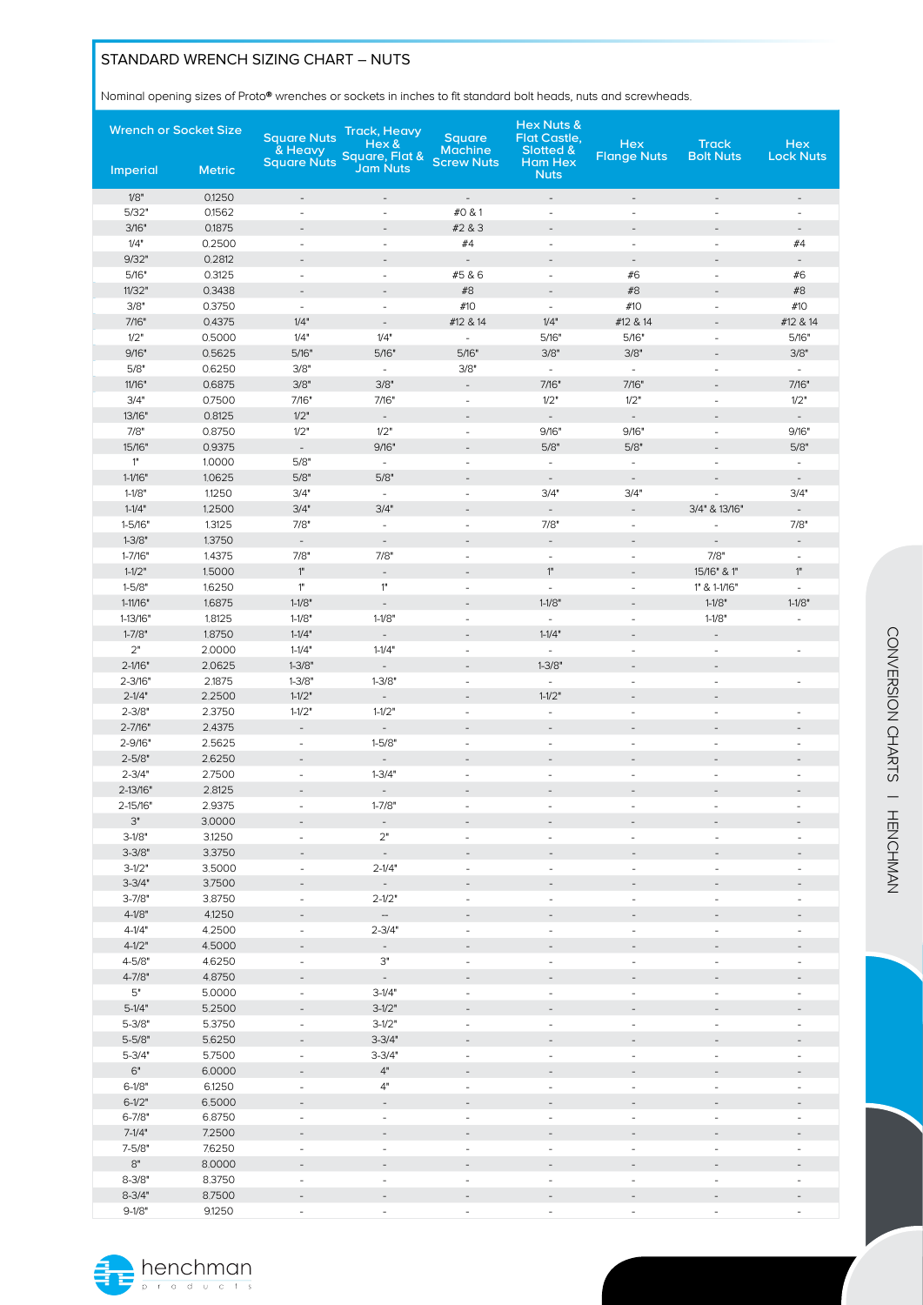# STANDARD WRENCH SIZING CHART – NUTS

Nominal opening sizes of Proto® wrenches or sockets in inches to fit standard bolt heads, nuts and screwheads.

| <b>Wrench or Socket Size</b> |                  | <b>Square Nuts</b><br>& Heavy                        | <b>Track, Heavy</b><br>Hex &<br>Square, Flat & | Square<br><b>Machine</b>                   | Hex Nuts &<br>Flat Castle,<br>Slotted &              | <b>Hex</b><br><b>Flange Nuts</b>                     | <b>Track</b><br><b>Bolt Nuts</b> | <b>Hex</b><br><b>Lock Nuts</b>             |
|------------------------------|------------------|------------------------------------------------------|------------------------------------------------|--------------------------------------------|------------------------------------------------------|------------------------------------------------------|----------------------------------|--------------------------------------------|
| Imperial                     | <b>Metric</b>    | <b>Square Nuts</b>                                   | <b>Jam Nuts</b>                                | <b>Screw Nuts</b>                          | Ham Hex<br><b>Nuts</b>                               |                                                      |                                  |                                            |
| 1/8"                         | 0.1250           | $\blacksquare$                                       | $\overline{\phantom{a}}$                       | $\overline{\phantom{a}}$                   | $\overline{\phantom{a}}$                             | $\overline{\phantom{a}}$                             | $\blacksquare$                   | $\overline{\phantom{a}}$                   |
| 5/32"                        | 0.1562           | $\blacksquare$                                       | $\blacksquare$                                 | #0 & 1                                     | $\omega$                                             | $\sim$                                               | ä,                               | $\omega$                                   |
| 3/16"                        | 0.1875           | $\overline{a}$                                       |                                                | #2 & 3                                     | $\overline{\phantom{a}}$                             | ÷,                                                   | ÷,                               | $\overline{\phantom{a}}$                   |
| 1/4"                         | 0.2500           | $\overline{\phantom{a}}$                             | $\blacksquare$                                 | #4                                         | $\overline{\phantom{a}}$                             | $\overline{\phantom{a}}$                             | $\blacksquare$                   | #4                                         |
| 9/32"                        | 0.2812           | $\overline{\phantom{a}}$                             | $\overline{\phantom{a}}$                       | $\blacksquare$                             | $\overline{\phantom{a}}$                             | $\overline{\phantom{a}}$                             | $\overline{\phantom{a}}$         | $\overline{\phantom{a}}$                   |
| 5/16"<br>11/32"              | 0.3125<br>0.3438 | $\overline{\phantom{a}}$                             | $\blacksquare$                                 | #5 & 6<br>#8                               | $\overline{\phantom{a}}$                             | #6<br>#8                                             | $\overline{\phantom{a}}$         | #6<br>#8                                   |
| 3/8"                         | 0.3750           | $\overline{\phantom{a}}$<br>$\omega$                 | $\blacksquare$                                 | #10                                        | $\overline{\phantom{a}}$<br>$\sim$                   | #10                                                  | $\blacksquare$                   | #10                                        |
| 7/16"                        | 0.4375           | 1/4"                                                 | $\overline{\phantom{a}}$                       | #12 & 14                                   | 1/4"                                                 | #12 & 14                                             | ÷,                               | #12 & 14                                   |
| 1/2"                         | 0.5000           | 1/4"                                                 | 1/4"                                           | $\blacksquare$                             | 5/16"                                                | 5/16"                                                | $\blacksquare$                   | 5/16"                                      |
| 9/16"                        | 0.5625           | 5/16"                                                | 5/16"                                          | 5/16"                                      | 3/8"                                                 | 3/8"                                                 |                                  | 3/8"                                       |
| 5/8"                         | 0.6250           | 3/8"                                                 | $\bar{\phantom{a}}$                            | 3/8"                                       | $\omega$                                             | $\omega$                                             | $\overline{\phantom{a}}$         | $\omega$                                   |
| 11/16"                       | 0.6875           | 3/8"                                                 | 3/8"                                           | $\overline{\phantom{a}}$                   | 7/16"                                                | 7/16"                                                | $\overline{\phantom{a}}$         | 7/16"                                      |
| 3/4"                         | 0.7500           | 7/16"                                                | 7/16"                                          | $\blacksquare$                             | 1/2"                                                 | 1/2"                                                 | $\overline{\phantom{a}}$         | 1/2"                                       |
| 13/16"                       | 0.8125           | 1/2"                                                 | $\overline{\phantom{a}}$                       | $\overline{\phantom{a}}$                   | $\overline{\phantom{a}}$                             | ۰                                                    | $\overline{\phantom{a}}$         | $\overline{\phantom{a}}$                   |
| 7/8"<br>15/16"               | 0.8750<br>0.9375 | 1/2"                                                 | 1/2"<br>9/16"                                  | $\overline{\phantom{a}}$<br>$\overline{a}$ | 9/16"<br>5/8"                                        | 9/16"<br>5/8"                                        | ä,<br>÷,                         | 9/16"<br>5/8"                              |
| 1"                           | 1.0000           | $\overline{\phantom{a}}$<br>5/8"                     | $\overline{\phantom{a}}$                       | $\overline{\phantom{a}}$                   | $\blacksquare$                                       | $\overline{\phantom{a}}$                             | $\overline{\phantom{a}}$         | $\blacksquare$                             |
| $1 - 1/16"$                  | 1.0625           | 5/8"                                                 | 5/8"                                           | $\overline{\phantom{a}}$                   | $\overline{\phantom{a}}$                             | $\overline{\phantom{a}}$                             | $\qquad \qquad -$                | $\overline{\phantom{a}}$                   |
| $1 - 1/8"$                   | 1.1250           | 3/4"                                                 | $\omega$                                       | $\blacksquare$                             | 3/4"                                                 | 3/4"                                                 | ÷,                               | 3/4"                                       |
| $1 - 1/4"$                   | 1.2500           | 3/4"                                                 | 3/4"                                           | $\qquad \qquad -$                          | $\overline{\phantom{a}}$                             | $\qquad \qquad \blacksquare$                         | 3/4" & 13/16"                    | $\overline{\phantom{a}}$                   |
| 1-5/16"                      | 1.3125           | 7/8"                                                 | $\omega$                                       | $\overline{\phantom{a}}$                   | 7/8"                                                 | $\overline{\phantom{a}}$                             | ÷,                               | 7/8"                                       |
| $1 - 3/8"$                   | 1.3750           | $\overline{\phantom{a}}$                             | $\sim$                                         | $\overline{a}$                             | $\overline{\phantom{a}}$                             | $\overline{\phantom{a}}$                             | $\overline{\phantom{a}}$         | $\overline{\phantom{a}}$                   |
| $1 - 7/16"$                  | 1.4375           | 7/8"                                                 | 7/8"                                           | $\overline{\phantom{a}}$                   | $\equiv$                                             | $\overline{\phantom{a}}$                             | 7/8"                             | $\overline{\phantom{a}}$                   |
| $1 - 1/2"$                   | 1.5000           | $1"$                                                 | $\overline{\phantom{a}}$                       | $\overline{\phantom{a}}$                   | 1"                                                   | $\overline{\phantom{a}}$                             | 15/16" & 1"                      | 1"                                         |
| $1 - 5/8"$                   | 1.6250           | 1"                                                   | $1"$                                           | $\overline{a}$                             | $\omega$                                             | $\sim$                                               | 1" & 1-1/16"                     | $\omega$                                   |
| $1-11/16"$<br>1-13/16"       | 1.6875<br>1.8125 | $1 - 1/8"$<br>$1 - 1/8"$                             | $\overline{\phantom{a}}$<br>$1 - 1/8"$         | $\overline{\phantom{a}}$<br>$\blacksquare$ | $1 - 1/8"$<br>$\equiv$                               | $\overline{\phantom{0}}$<br>$\overline{\phantom{a}}$ | $1 - 1/8"$<br>$1 - 1/8"$         | $1 - 1/8"$<br>ä,                           |
| $1 - 7/8"$                   | 1.8750           | $1 - 1/4"$                                           | $\overline{\phantom{a}}$                       | $\overline{a}$                             | $1 - 1/4"$                                           | $\overline{\phantom{a}}$                             | $\frac{1}{2}$                    |                                            |
| $2"$                         | 2,0000           | $1 - 1/4"$                                           | $1 - 1/4"$                                     | $\blacksquare$                             | $\sim$                                               | $\overline{\phantom{a}}$                             | $\overline{\phantom{a}}$         | $\overline{\phantom{a}}$                   |
| $2 - 1/16"$                  | 2.0625           | $1 - 3/8"$                                           | $\overline{\phantom{a}}$                       |                                            | $1 - 3/8"$                                           | ÷,                                                   | ÷,                               |                                            |
| $2 - 3/16"$                  | 2,1875           | $1 - 3/8"$                                           | $1 - 3/8"$                                     | ÷,                                         | $\sim$                                               | $\overline{\phantom{a}}$                             | $\overline{\phantom{a}}$         | $\overline{\phantom{a}}$                   |
| $2 - 1/4"$                   | 2.2500           | $1 - 1/2"$                                           | $\blacksquare$                                 | $\overline{\phantom{a}}$                   | $1 - 1/2"$                                           | $\qquad \qquad -$                                    | $\overline{\phantom{a}}$         |                                            |
| $2 - 3/8"$                   | 2.3750           | $1 - 1/2"$                                           | $1 - 1/2"$                                     | ä,                                         | $\sim$                                               | $\blacksquare$                                       | $\overline{\phantom{a}}$         | $\overline{\phantom{a}}$                   |
| $2 - 7/16"$                  | 2.4375           | $\blacksquare$                                       | $\bar{\phantom{a}}$                            |                                            | $\overline{\phantom{a}}$                             |                                                      | $\overline{\phantom{0}}$         |                                            |
| 2-9/16"                      | 2.5625           | $\overline{\phantom{a}}$                             | $1 - 5/8"$                                     | $\blacksquare$                             | $\overline{\phantom{a}}$                             | $\overline{\phantom{a}}$                             | $\overline{\phantom{a}}$         | $\overline{\phantom{a}}$                   |
| $2 - 5/8"$<br>$2 - 3/4"$     | 2.6250<br>2.7500 | $\overline{\phantom{a}}$<br>$\overline{\phantom{a}}$ | $\overline{\phantom{a}}$<br>$1 - 3/4"$         | $\overline{\phantom{a}}$<br>$\blacksquare$ | $\overline{\phantom{a}}$<br>$\overline{\phantom{a}}$ | $\overline{a}$<br>$\overline{\phantom{a}}$           | ÷,<br>$\overline{\phantom{a}}$   | $\overline{a}$<br>$\overline{\phantom{a}}$ |
| $2 - 13/16"$                 | 2.8125           | $\overline{\phantom{a}}$                             | $\overline{\phantom{a}}$                       | $\overline{\phantom{a}}$                   | $\overline{\phantom{m}}$                             | $\overline{a}$                                       | $\overline{\phantom{a}}$         | $\overline{a}$                             |
| 2-15/16"                     | 2.9375           | $\omega$                                             | $1 - 7/8"$                                     | ÷,                                         | $\bar{\phantom{a}}$                                  | $\bar{a}$                                            | ÷,                               | ÷,                                         |
| $3"$                         | 3.0000           |                                                      | $\overline{\phantom{a}}$                       |                                            |                                                      |                                                      |                                  |                                            |
| $3-1/8"$                     | 3,1250           | $\omega$                                             | 2"                                             | ä,                                         | ÷.                                                   | ä,                                                   | $\blacksquare$                   | $\sim$                                     |
| $3 - 3/8"$                   | 3.3750           | $\overline{\phantom{a}}$                             | $\overline{\phantom{a}}$                       | $\overline{a}$                             |                                                      |                                                      |                                  |                                            |
| $3-1/2"$                     | 3.5000           | $\overline{\phantom{a}}$                             | $2 - 1/4"$                                     | $\overline{\phantom{a}}$                   | $\overline{\phantom{a}}$                             | $\overline{\phantom{a}}$                             | $\overline{\phantom{a}}$         | $\overline{\phantom{a}}$                   |
| $3 - 3/4"$                   | 3.7500           |                                                      | $\overline{\phantom{a}}$                       | $\sim$                                     |                                                      |                                                      |                                  |                                            |
| $3 - 7/8"$                   | 3.8750           | $\overline{\phantom{a}}$                             | $2 - 1/2"$                                     | $\sim$                                     | ÷.                                                   | $\overline{\phantom{a}}$                             | ä,                               | ÷.                                         |
| $4 - 1/8"$<br>$4 - 1/4"$     | 4.1250<br>4.2500 | $\overline{\phantom{a}}$<br>$\blacksquare$           | $\overline{\phantom{a}}$<br>$2 - 3/4"$         | $\overline{\phantom{a}}$<br>$\bar{a}$      | $\overline{\phantom{a}}$<br>÷.                       | $\overline{a}$<br>÷,                                 | L,                               | $\overline{\phantom{a}}$<br>$\sim$         |
| $4 - 1/2"$                   | 4.5000           | $\overline{\phantom{m}}$                             | $\overline{\phantom{a}}$                       |                                            |                                                      |                                                      |                                  |                                            |
| $4 - 5/8"$                   | 4.6250           | $\overline{\phantom{a}}$                             | $3"$                                           | $\sim$                                     | $\sim$                                               | $\sim$                                               | $\overline{a}$                   | $\sim$                                     |
| $4 - 7/8"$                   | 4.8750           | $\overline{\phantom{a}}$                             | $\overline{\phantom{a}}$                       |                                            |                                                      |                                                      |                                  |                                            |
| 5"                           | 5.0000           | $\frac{1}{2}$                                        | $3-1/4"$                                       | $\overline{\phantom{a}}$                   | $\overline{\phantom{a}}$                             | ÷,                                                   | ä,                               | $\overline{\phantom{a}}$                   |
| $5-1/4"$                     | 5.2500           | $\overline{\phantom{a}}$                             | $3-1/2"$                                       | ÷                                          | $\overline{\phantom{a}}$                             | $\overline{\phantom{a}}$                             | L.                               | $\overline{\phantom{a}}$                   |
| $5 - 3/8"$                   | 5.3750           | $\blacksquare$                                       | $3-1/2"$                                       | $\bar{a}$                                  | $\overline{\phantom{a}}$                             | ÷.                                                   | L,                               | $\overline{\phantom{a}}$                   |
| $5 - 5/8"$                   | 5.6250           | $\qquad \qquad \blacksquare$                         | $3 - 3/4"$                                     | $\overline{\phantom{a}}$                   |                                                      | $\overline{\phantom{m}}$                             |                                  |                                            |
| $5 - 3/4"$                   | 5.7500           | $\overline{\phantom{a}}$                             | $3 - 3/4"$                                     | $\sim$                                     | $\overline{\phantom{a}}$                             | L,                                                   |                                  |                                            |
| 6"<br>$6 - 1/8"$             | 6.0000<br>6.1250 | $\overline{\phantom{a}}$                             | 4"<br>4"                                       | $\overline{\phantom{a}}$                   | $\overline{\phantom{m}}$                             |                                                      |                                  |                                            |
| $6 - 1/2"$                   | 6.5000           | $\overline{\phantom{a}}$                             |                                                | $\overline{\phantom{a}}$                   | $\overline{\phantom{a}}$                             | $\overline{\phantom{a}}$                             | $\blacksquare$                   | $\overline{\phantom{a}}$                   |
| $6 - 7/8"$                   | 6.8750           | $\blacksquare$                                       | $\blacksquare$                                 | $\blacksquare$                             | $\overline{\phantom{a}}$                             | $\overline{\phantom{a}}$                             | $\blacksquare$                   | $\overline{\phantom{a}}$                   |
| $7-1/4"$                     | 7.2500           | $\overline{\phantom{a}}$                             | $\overline{\phantom{a}}$                       | $\overline{\phantom{a}}$                   |                                                      | ٠                                                    |                                  |                                            |
| $7 - 5/8"$                   | 7.6250           | $\blacksquare$                                       | $\sim$                                         | ä,                                         | $\sim$                                               | ä,                                                   | ä,                               | $\sim$                                     |
| 8"                           | 8,0000           |                                                      |                                                |                                            |                                                      |                                                      |                                  |                                            |
| $8 - 3/8"$                   | 8.3750           | $\overline{\phantom{a}}$                             | $\overline{\phantom{a}}$                       | ÷.                                         | $\sim$                                               | $\overline{\phantom{a}}$                             | ä,                               | $\sim$                                     |
| $8 - 3/4"$                   | 8.7500           | $\overline{\phantom{a}}$                             |                                                |                                            |                                                      |                                                      |                                  |                                            |
| $9-1/8"$                     | 9.1250           | ÷,                                                   |                                                |                                            | $\blacksquare$                                       | $\blacksquare$                                       |                                  |                                            |

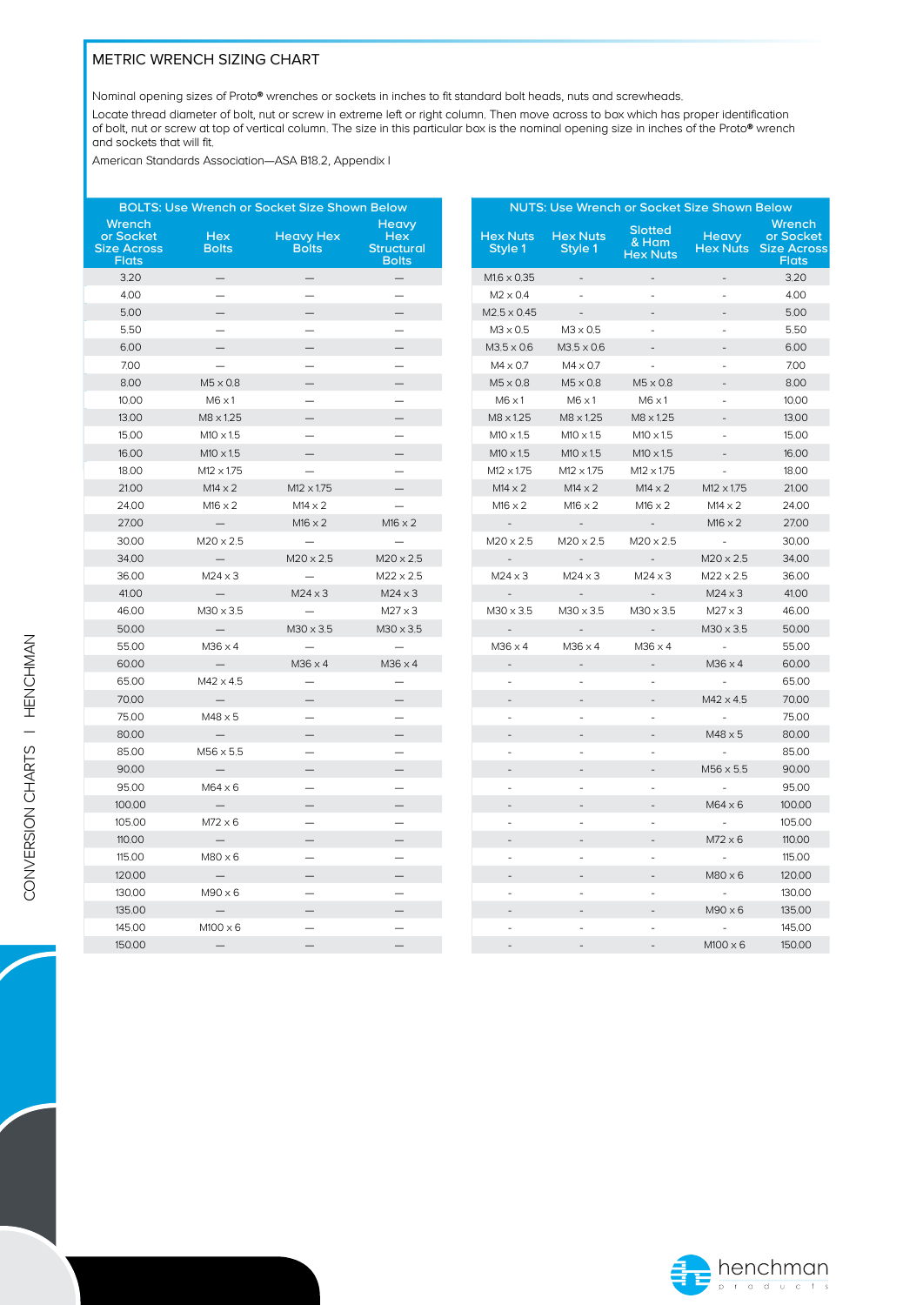### METRIC WRENCH SIZING CHART

Nominal opening sizes of Proto® wrenches or sockets in inches to fit standard bolt heads, nuts and screwheads.

Locate thread diameter of bolt, nut or screw in extreme left or right column. Then move across to box which has proper identification of bolt, nut or screw at top of vertical column. The size in this particular box is the nominal opening size in inches of the Proto® wrench and sockets that will fit.

American Standards Association—ASA B18.2, Appendix I

|                                                           |                            | <b>BOLTS: Use Wrench or Socket Size Shown Below</b> |                                                          | <b>NUTS: Use Wrench or Socket Size Shown Below</b> |                            |                            |                                            |                          |                                                                    |
|-----------------------------------------------------------|----------------------------|-----------------------------------------------------|----------------------------------------------------------|----------------------------------------------------|----------------------------|----------------------------|--------------------------------------------|--------------------------|--------------------------------------------------------------------|
| Wrench<br>or Socket<br><b>Size Across</b><br><b>Flats</b> | <b>Hex</b><br><b>Bolts</b> | <b>Heavy Hex</b><br><b>Bolts</b>                    | Heavy<br><b>Hex</b><br><b>Structural</b><br><b>Bolts</b> |                                                    | <b>Hex Nuts</b><br>Style 1 | <b>Hex Nuts</b><br>Style 1 | <b>Slotted</b><br>& Ham<br><b>Hex Nuts</b> | <b>Heavy</b>             | Wrench<br>or Socket<br><b>Hex Nuts</b> Size Across<br><b>Flats</b> |
| 3.20                                                      |                            | $\overline{\phantom{0}}$                            | —                                                        |                                                    | $M1.6 \times 0.35$         | $\overline{\phantom{a}}$   | $\frac{1}{2}$                              | $\overline{a}$           | 3.20                                                               |
| 4.00                                                      | $=$                        | $\overline{\phantom{0}}$                            | $\qquad \qquad$                                          |                                                    | $M2 \times 0.4$            | ÷.                         | $\overline{a}$                             | ÷                        | 4.00                                                               |
| 5.00                                                      | $\qquad \qquad -$          |                                                     |                                                          |                                                    | $M2.5 \times 0.45$         | $\overline{\phantom{a}}$   |                                            |                          | 5.00                                                               |
| 5.50                                                      | $\overline{\phantom{0}}$   | $\overline{\phantom{0}}$                            | $\overline{\phantom{0}}$                                 |                                                    | $M3 \times 0.5$            | $M3 \times 0.5$            | $\sim$                                     | $\sim$                   | 5.50                                                               |
| 6.00                                                      |                            |                                                     |                                                          |                                                    | $M3.5 \times 0.6$          | $M3.5 \times 0.6$          |                                            |                          | 6.00                                                               |
| 7.00                                                      | $\overline{\phantom{m}}$   | $\qquad \qquad -$                                   |                                                          |                                                    | $M4 \times 0.7$            | $M4 \times 0.7$            | $\Box$                                     | $\overline{\phantom{a}}$ | 7.00                                                               |
| 8.00                                                      | $M5 \times 0.8$            |                                                     |                                                          |                                                    | $M5 \times 0.8$            | $M5 \times 0.8$            | $M5 \times 0.8$                            |                          | 8.00                                                               |
| 10.00                                                     | $M6 \times 1$              |                                                     | $\overline{\phantom{0}}$                                 |                                                    | $M6 \times 1$              | $M6 \times 1$              | $M6 \times 1$                              | $\sim$                   | 10.00                                                              |
| 13.00                                                     | M8 x 1.25                  |                                                     |                                                          |                                                    | M8 x 1.25                  | $M8 \times 1.25$           | M8 x 1.25                                  |                          | 13.00                                                              |
| 15.00                                                     | $M10 \times 1.5$           |                                                     |                                                          |                                                    | $M10 \times 1.5$           | $M10 \times 1.5$           | $M10 \times 1.5$                           | $\overline{\phantom{a}}$ | 15.00                                                              |
| 16.00                                                     | $M10 \times 1.5$           | $\qquad \qquad -$                                   |                                                          |                                                    | $M10 \times 1.5$           | $M10 \times 1.5$           | $M10 \times 1.5$                           | $\overline{\phantom{m}}$ | 16.00                                                              |
| 18.00                                                     | $M12 \times 1.75$          | $\equiv$                                            |                                                          |                                                    | $M12 \times 1.75$          | $M12 \times 1.75$          | $M12 \times 1.75$                          | $\sim$                   | 18.00                                                              |
| 21.00                                                     | $M14 \times 2$             | $M12 \times 1.75$                                   |                                                          |                                                    | $M14 \times 2$             | $M14 \times 2$             | $M14 \times 2$                             | $M12 \times 1.75$        | 21.00                                                              |
| 24.00                                                     | $M16 \times 2$             | $M14 \times 2$                                      | $\overline{\phantom{0}}$                                 |                                                    | $M16 \times 2$             | $M16 \times 2$             | $M16 \times 2$                             | $M14 \times 2$           | 24.00                                                              |
| 27.00                                                     | $\overline{\phantom{0}}$   | $M16 \times 2$                                      | $M16 \times 2$                                           |                                                    | $\overline{\phantom{a}}$   | $\overline{\phantom{a}}$   | $\overline{\phantom{a}}$                   | $M16 \times 2$           | 27.00                                                              |
| 30.00                                                     | $M20 \times 2.5$           | $\overline{\phantom{0}}$                            | $\equiv$                                                 |                                                    | $M20 \times 2.5$           | $M20 \times 2.5$           | $M20 \times 2.5$                           | $\sim$                   | 30.00                                                              |
| 34.00                                                     | $\overline{\phantom{0}}$   | $M20 \times 2.5$                                    | $M20 \times 2.5$                                         |                                                    | $\overline{\phantom{a}}$   |                            | $\overline{\phantom{a}}$                   | $M20 \times 2.5$         | 34.00                                                              |
| 36.00                                                     | $M24 \times 3$             |                                                     | $M22 \times 2.5$                                         |                                                    | $M24 \times 3$             | $M24 \times 3$             | $M24 \times 3$                             | $M22 \times 2.5$         | 36.00                                                              |
| 41.00                                                     | $\equiv$                   | $M24 \times 3$                                      | $M24 \times 3$                                           |                                                    | $\overline{a}$             | $\overline{a}$             | $\overline{a}$                             | $M24 \times 3$           | 41.00                                                              |
| 46.00                                                     | $M30 \times 3.5$           | $\equiv$                                            | $M27 \times 3$                                           |                                                    | $M30 \times 3.5$           | $M30 \times 3.5$           | $M30 \times 3.5$                           | $M27 \times 3$           | 46.00                                                              |
| 50.00                                                     | $\overline{\phantom{0}}$   | $M30 \times 3.5$                                    | $M30 \times 3.5$                                         |                                                    | $\sim$                     | $\overline{\phantom{a}}$   | $\sim$                                     | $M30 \times 3.5$         | 50.00                                                              |
| 55.00                                                     | $M36 \times 4$             |                                                     | $\overline{\phantom{m}}$                                 |                                                    | $M36 \times 4$             | $M36 \times 4$             | $M36 \times 4$                             | $\sim$                   | 55.00                                                              |
| 60.00                                                     | $\overline{\phantom{0}}$   | $M36 \times 4$                                      | $M36 \times 4$                                           |                                                    |                            |                            |                                            | $M36 \times 4$           | 60.00                                                              |
| 65.00                                                     | $M42 \times 4.5$           |                                                     |                                                          |                                                    | $\sim$                     | $\sim$                     | ä,                                         | $\sim$                   | 65.00                                                              |
| 70.00                                                     |                            |                                                     |                                                          |                                                    |                            |                            |                                            | $M42 \times 4.5$         | 70.00                                                              |
| 75.00                                                     | $M48 \times 5$             | $\overline{\phantom{0}}$                            |                                                          |                                                    | $\overline{\phantom{a}}$   | $\sim$                     | $\overline{\phantom{a}}$                   | $\overline{\phantom{a}}$ | 75.00                                                              |
| 80.00                                                     | $\qquad \qquad -$          |                                                     |                                                          |                                                    | $\overline{a}$             | $\overline{a}$             | $\overline{a}$                             | $M48 \times 5$           | 80.00                                                              |
| 85.00                                                     | $M56 \times 5.5$           | $\equiv$                                            |                                                          |                                                    | $\bar{a}$                  | $\sim$                     | $\overline{\phantom{a}}$                   | $\omega$                 | 85.00                                                              |
| 90.00                                                     | $\overline{\phantom{m}}$   |                                                     |                                                          |                                                    |                            | $\overline{\phantom{a}}$   | $\overline{\phantom{a}}$                   | $M56 \times 5.5$         | 90.00                                                              |
| 95.00                                                     | $M64 \times 6$             | $\overline{\phantom{0}}$                            | $\overline{\phantom{0}}$                                 |                                                    | ÷.                         | L.                         | $\overline{a}$                             | $\bar{a}$                | 95.00                                                              |
| 100.00                                                    | $\overline{\phantom{0}}$   |                                                     |                                                          |                                                    | $\overline{\phantom{a}}$   |                            | $\overline{\phantom{a}}$                   | $M64 \times 6$           | 100,00                                                             |
| 105.00                                                    | $M72 \times 6$             |                                                     |                                                          |                                                    | ä,                         | ÷,                         | ÷,                                         |                          | 105.00                                                             |
| 110,00                                                    | —                          | —                                                   |                                                          |                                                    |                            |                            |                                            | $M72 \times 6$           | 110.00                                                             |
| 115.00                                                    | $M80 \times 6$             |                                                     | $\overline{\phantom{0}}$                                 |                                                    | $\overline{a}$             | $\overline{a}$             | ÷,                                         | $\sim$                   | 115.00                                                             |
| 120,00                                                    | $\qquad -$                 |                                                     |                                                          |                                                    | $\overline{a}$             |                            |                                            | $M80 \times 6$           | 120,00                                                             |
| 130.00                                                    | $M90 \times 6$             | $\overline{\phantom{0}}$                            |                                                          |                                                    | ä,                         | $\overline{\phantom{a}}$   | $\overline{\phantom{a}}$                   | $\sim$                   | 130.00                                                             |
| 135.00                                                    | $\overline{\phantom{0}}$   |                                                     |                                                          |                                                    |                            |                            |                                            | $M90 \times 6$           | 135.00                                                             |
| 145.00                                                    | $M100 \times 6$            |                                                     |                                                          |                                                    | ٠                          | ÷,                         | ÷.                                         | $\sim$                   | 145.00                                                             |
| 150.00                                                    | $\overline{\phantom{0}}$   |                                                     |                                                          |                                                    |                            |                            |                                            | $M100 \times 6$          | 150,00                                                             |

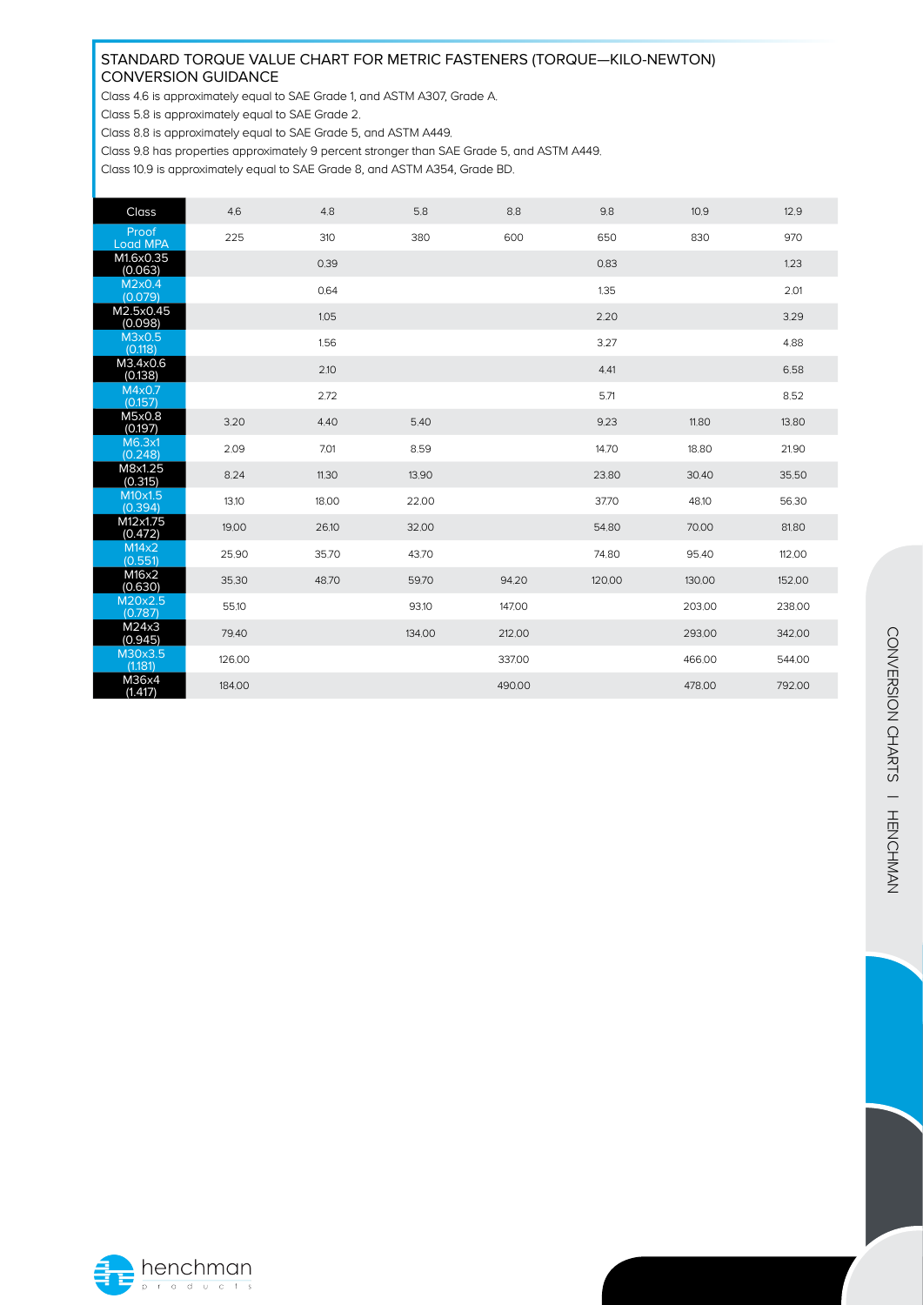#### STANDARD TORQUE VALUE CHART FOR METRIC FASTENERS (TORQUE—KILO-NEWTON) CONVERSION GUIDANCE

Class 4.6 is approximately equal to SAE Grade 1, and ASTM A307, Grade A.

Class 5.8 is approximately equal to SAE Grade 2.

Class 8.8 is approximately equal to SAE Grade 5, and ASTM A449.

Class 9.8 has properties approximately 9 percent stronger than SAE Grade 5, and ASTM A449.

Class 10.9 is approximately equal to SAE Grade 8, and ASTM A354, Grade BD.

| Class                    | 4.6    | 4.8   | 5.8    | 8.8    | 9.8    | 10.9   | 12.9   |
|--------------------------|--------|-------|--------|--------|--------|--------|--------|
| Proof<br><b>Load MPA</b> | 225    | 310   | 380    | 600    | 650    | 830    | 970    |
| M1.6x0.35<br>(0.063)     |        | 0.39  |        |        | 0.83   |        | 1.23   |
| M2x0.4<br>(0.079)        |        | 0.64  |        |        | 1.35   |        | 2.01   |
| M2.5x0.45<br>(0.098)     |        | 1.05  |        |        | 2.20   |        | 3.29   |
| M3x0.5<br>(0.118)        |        | 1.56  |        |        | 3.27   |        | 4.88   |
| M3.4x0.6<br>(0.138)      |        | 2.10  |        |        | 4.41   |        | 6.58   |
| M4x0.7<br>(0.157)        |        | 2.72  |        |        | 5.71   |        | 8.52   |
| M5x0.8<br>(0.197)        | 3.20   | 4.40  | 5.40   |        | 9.23   | 11,80  | 13.80  |
| M6.3x1<br>(0.248)        | 2.09   | 7.01  | 8.59   |        | 14.70  | 18.80  | 21.90  |
| M8x1.25<br>(0.315)       | 8.24   | 11.30 | 13.90  |        | 23.80  | 30.40  | 35.50  |
| M10x1.5<br>(0.394)       | 13.10  | 18.00 | 22.00  |        | 37.70  | 48.10  | 56.30  |
| M12x1.75<br>(0.472)      | 19.00  | 26.10 | 32.00  |        | 54.80  | 70.00  | 81.80  |
| M14x2<br>(0.551)         | 25.90  | 35.70 | 43.70  |        | 74.80  | 95.40  | 112.00 |
| M16x2<br>(0.630)         | 35.30  | 48.70 | 59.70  | 94.20  | 120.00 | 130.00 | 152.00 |
| M20x2.5<br>(0.787)       | 55.10  |       | 93.10  | 147.00 |        | 203.00 | 238.00 |
| M24x3<br>(0.945)         | 79.40  |       | 134.00 | 212.00 |        | 293.00 | 342,00 |
| M30x3.5<br>(1.181)       | 126.00 |       |        | 337.00 |        | 466.00 | 544.00 |
| M36x4<br>(1.417)         | 184.00 |       |        | 490.00 |        | 478.00 | 792.00 |

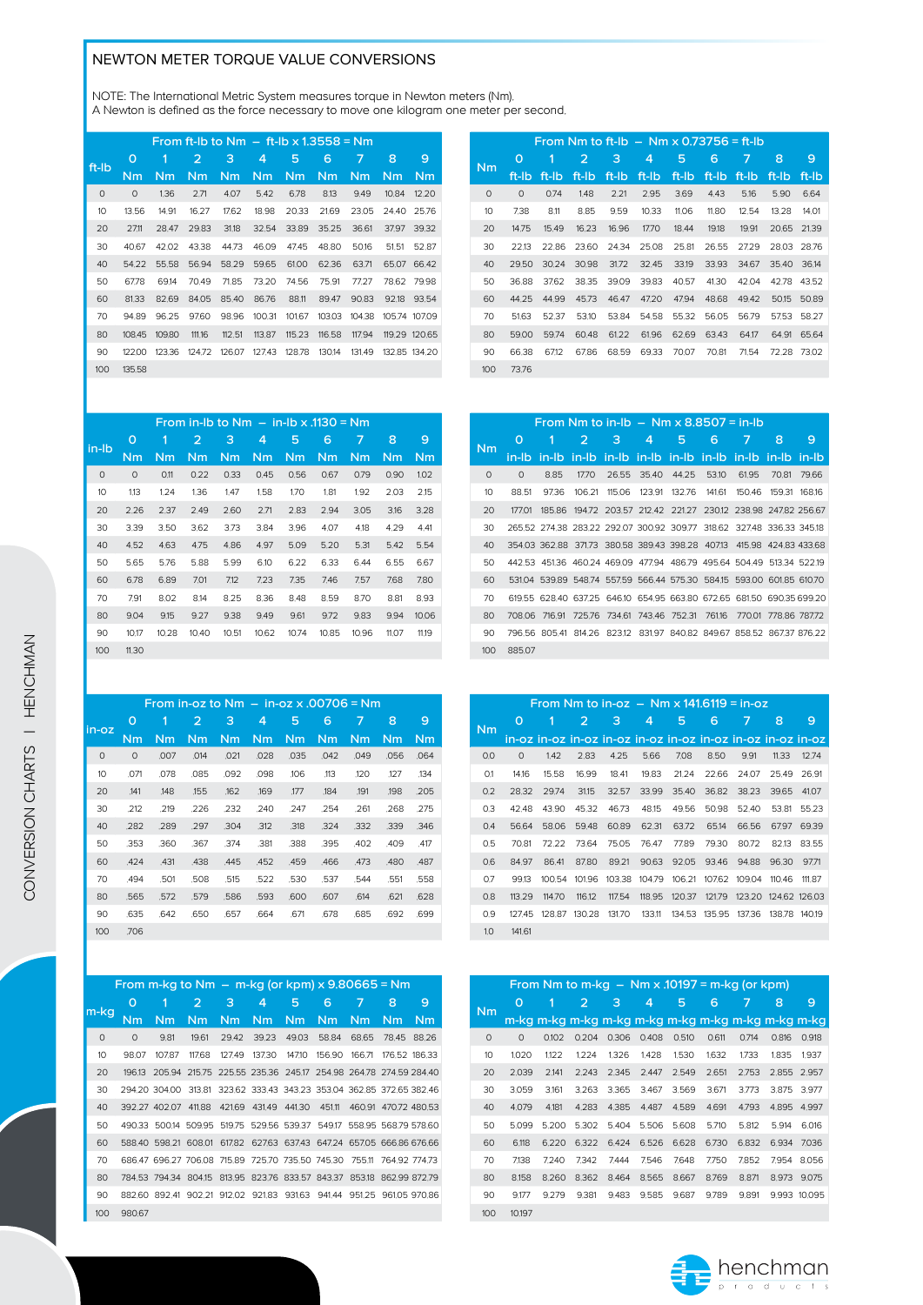# NEWTON METER TORQUE VALUE CONVERSIONS

NOTE: The International Metric System measures torque in Newton meters (Nm). A Newton is defined as the force necessary to move one kilogram one meter per second.

| From ft-lb to $Nm - ft$ -lb x 1.3558 = $Nm$ |        |        |        |        |        |        |        |        |               |  |  |
|---------------------------------------------|--------|--------|--------|--------|--------|--------|--------|--------|---------------|--|--|
| O                                           | 1      | 2      | 3      | 4      | 5      | 6      | 7      | 8      | 9             |  |  |
| Nm                                          | Nm     | Nm     | Nm     | Nm     | Nm     | Nm     | Nm     | Nm     | Nm            |  |  |
| $\circ$                                     | 1,36   | 2.71   | 4.07   | 5.42   | 6.78   | 8.13   | 9.49   | 10.84  | 12.20         |  |  |
| 13.56                                       | 14.91  | 16.27  | 17.62  | 18.98  | 20.33  | 21.69  | 23.05  | 2440   | 25.76         |  |  |
| 27.11                                       | 28.47  | 29.83  | 31.18  | 32.54  | 33.89  | 35.25  | 36.61  | 37.97  | 39.32         |  |  |
| 40.67                                       | 42.02  | 43.38  | 44.73  | 46.09  | 47.45  | 48.80  | 50.16  | 51.51  | 52.87         |  |  |
| 54.22                                       | 55.58  | 56.94  | 58.29  | 59.65  | 61.00  | 62.36  | 63.71  | 65.07  | 66.42         |  |  |
| 67.78                                       | 69.14  | 70.49  | 71.85  | 73.20  | 74.56  | 75.91  | 77.27  | 78.62  | 79.98         |  |  |
| 81.33                                       | 82.69  | 84.05  | 85.40  | 86.76  | 88.11  | 89.47  | 90.83  | 92.18  | 93.54         |  |  |
| 94.89                                       | 96.25  | 97.60  | 98.96  | 100.31 | 101.67 | 103.03 | 104.38 | 105.74 | 107.09        |  |  |
| 108.45                                      | 109.80 | 111.16 | 112.51 | 113.87 | 115.23 | 116.58 | 117.94 | 119.29 | 120.65        |  |  |
| 122.00                                      | 123.36 | 124.72 | 126.07 | 127.43 | 128.78 | 130.14 | 131.49 |        | 132.85 134.20 |  |  |
| 135.58                                      |        |        |        |        |        |        |        |        |               |  |  |
|                                             |        |        |        |        |        |        |        |        |               |  |  |

| From Nm to ft-lb $-$ Nm x 0.73756 = ft-lb |         |       |       |       |       |       |       |       |       |       |  |  |
|-------------------------------------------|---------|-------|-------|-------|-------|-------|-------|-------|-------|-------|--|--|
| Nm.                                       | O       | 1     | 2     | 3     | 4     | 5     | 6     | 7     | 8     | 9     |  |  |
|                                           | ft-lb   | ft-lb | ft-Ib | ft-lb | ft-Ib | ft-lb | ft-lb | ft-lb | ft-lb | ft-lb |  |  |
| $\circ$                                   | $\circ$ | 0.74  | 1.48  | 2.21  | 2.95  | 3.69  | 4.43  | 5,16  | 5.90  | 6.64  |  |  |
| 10                                        | 7.38    | 8.11  | 8.85  | 9.59  | 10.33 | 11.06 | 11.80 | 12.54 | 13.28 | 14.01 |  |  |
| 20                                        | 14.75   | 15.49 | 16.23 | 16.96 | 17.70 | 18.44 | 19.18 | 19.91 | 20.65 | 21.39 |  |  |
| 30                                        | 22.13   | 22.86 | 23.60 | 24.34 | 25.08 | 25.81 | 26.55 | 27.29 | 28.03 | 28.76 |  |  |
| 40                                        | 29.50   | 30.24 | 30.98 | 31.72 | 32.45 | 33.19 | 33.93 | 34.67 | 35.40 | 36.14 |  |  |
| 50                                        | 36.88   | 37.62 | 38.35 | 39.09 | 39.83 | 40.57 | 41.30 | 42.04 | 42.78 | 43.52 |  |  |
| 60                                        | 44.25   | 44.99 | 45.73 | 46.47 | 47.20 | 47.94 | 48.68 | 49.42 | 50.15 | 50.89 |  |  |
| 70                                        | 51.63   | 52.37 | 53.10 | 53.84 | 54.58 | 55.32 | 56.05 | 56.79 | 57.53 | 58.27 |  |  |
| 80                                        | 59.00   | 59.74 | 60.48 | 61.22 | 61.96 | 62.69 | 63.43 | 64.17 | 64.91 | 65.64 |  |  |
| 90                                        | 66.38   | 6712  | 67.86 | 68.59 | 69.33 | 70.07 | 70.81 | 71.54 | 72.28 | 73.02 |  |  |
| 100                                       | 73.76   |       |       |       |       |       |       |       |       |       |  |  |

| From in-Ib to $Nm - in$ -Ib x $.1130 = Nm$ |         |       |       |       |       |       |       |       |       |       |  |
|--------------------------------------------|---------|-------|-------|-------|-------|-------|-------|-------|-------|-------|--|
| in-lb                                      | O       | 1     | 2     | 3     | 4     | 5     | 6     | 7     | 8     | 9     |  |
|                                            | Nm      | Nm    | Nm    | Nm    | Nm    | Nm    | Nm    | Nm    | Nm    | Nm    |  |
| $\circ$                                    | $\circ$ | 0.11  | 0.22  | 0.33  | 0.45  | 0.56  | 0.67  | 0.79  | 0.90  | 1,02  |  |
| 10                                         | 1.13    | 1,24  | 1.36  | 1.47  | 1.58  | 1,70  | 1,81  | 1.92  | 2.03  | 2.15  |  |
| 20                                         | 2.26    | 2.37  | 2.49  | 2.60  | 2.71  | 2.83  | 2.94  | 3.05  | 3.16  | 3.28  |  |
| 30                                         | 3.39    | 3.50  | 3.62  | 3.73  | 3.84  | 3.96  | 4.07  | 4.18  | 4.29  | 4.41  |  |
| 40                                         | 4.52    | 4.63  | 4.75  | 4.86  | 4.97  | 5.09  | 5.20  | 5.31  | 5.42  | 5.54  |  |
| 50                                         | 5.65    | 5.76  | 5.88  | 5.99  | 6.10  | 6.22  | 6.33  | 6.44  | 6.55  | 6.67  |  |
| 60                                         | 6.78    | 6.89  | 7.01  | 7.12  | 7.23  | 7.35  | 7.46  | 7.57  | 7.68  | 7.80  |  |
| 70                                         | 7.91    | 8.02  | 8.14  | 8.25  | 8.36  | 8.48  | 8.59  | 8.70  | 8.81  | 8.93  |  |
| 80                                         | 9.04    | 9.15  | 9.27  | 9.38  | 9.49  | 9.61  | 9.72  | 9.83  | 9.94  | 10.06 |  |
| 90                                         | 10.17   | 10.28 | 10.40 | 10.51 | 10.62 | 10.74 | 10.85 | 10.96 | 11,07 | 11,19 |  |
| 100                                        | 11,30   |       |       |       |       |       |       |       |       |       |  |

|          |         |      | From in-oz to $Nm - in$ -oz x .00706 = Nm |      |      |      |      |      |      |      |
|----------|---------|------|-------------------------------------------|------|------|------|------|------|------|------|
|          | 0       | 1    | 2                                         | 3    | 4    | 5    | 6    | 7    | 8    | 9    |
| in-oz    | Nm      | Nm   | <b>Nm</b>                                 | Nm   | Nm   | Nm   | Nm   | Nm   | Nm   | Nm   |
| $\Omega$ | $\circ$ | .007 | .014                                      | .021 | .028 | .035 | .042 | .049 | .056 | .064 |
| 10       | .071    | .078 | .085                                      | .092 | .098 | .106 | ,113 | ,120 | ,127 | .134 |
| 20       | .141    | .148 | .155                                      | .162 | ,169 | .177 | ,184 | .191 | .198 | .205 |
| 30       | .212    | .219 | .226                                      | .232 | .240 | .247 | .254 | .261 | .268 | .275 |
| 40       | .282    | .289 | .297                                      | .304 | .312 | .318 | .324 | .332 | .339 | .346 |
| 50       | .353    | .360 | .367                                      | .374 | .381 | .388 | .395 | .402 | .409 | .417 |
| 60       | .424    | .431 | .438                                      | .445 | .452 | .459 | .466 | .473 | .480 | .487 |
| 70       | .494    | .501 | .508                                      | .515 | .522 | .530 | .537 | .544 | .551 | .558 |
| 80       | .565    | .572 | .579                                      | .586 | .593 | .600 | .607 | .614 | .621 | .628 |
| 90       | .635    | .642 | .650                                      | .657 | .664 | .671 | .678 | .685 | .692 | .699 |
| 100      | .706    |      |                                           |      |      |      |      |      |      |      |

|                  | From m-kg to Nm $-$ m-kg (or kpm) $\times$ 9.80665 = Nm |                                                                       |        |        |                                                  |        |        |        |               |             |
|------------------|---------------------------------------------------------|-----------------------------------------------------------------------|--------|--------|--------------------------------------------------|--------|--------|--------|---------------|-------------|
|                  | 0                                                       | 1                                                                     | 2      | з      | 4                                                | 5      | 6      | 7      | 8             | 9           |
| m-kg             | Nm                                                      | Nm                                                                    | Nm     | Nm.    | Nm                                               | Nm.    | Nm.    | Nm.    | Nm            | Nm          |
| $\circ$          | $\circ$                                                 | 9.81                                                                  | 19.61  | 29.42  | 39.23                                            | 49.03  | 58.84  | 68.65  |               | 78.45 88.26 |
| 10 <sup>10</sup> | 98.07                                                   | 107.87                                                                | 117.68 | 127.49 | 137.30                                           | 147.10 | 156.90 | 166.71 | 176.52 186.33 |             |
| 20               |                                                         | 196.13 205.94 215.75 225.55 235.36 245.17 254.98 264.78 274.59 284.40 |        |        |                                                  |        |        |        |               |             |
| 30               |                                                         | 294.20 304.00 313.81 323.62 333.43 343.23 353.04 362.85 372.65 382.46 |        |        |                                                  |        |        |        |               |             |
| 40               |                                                         | 392.27 402.07 411.88                                                  |        |        | 421.69 431.49 441.30 451.11 460.91 470.72 480.53 |        |        |        |               |             |
| 50               |                                                         | 490.33 500.14 509.95 519.75 529.56 539.37 549.17 558.95 568.79 578.60 |        |        |                                                  |        |        |        |               |             |
| 60               |                                                         | 588.40 598.21 608.01 617.82 627.63 637.43 647.24 657.05 666.86 676.66 |        |        |                                                  |        |        |        |               |             |
| 70               |                                                         | 686.47 696.27 706.08 715.89 725.70 735.50 745.30 755.11 764.92 774.73 |        |        |                                                  |        |        |        |               |             |
| 80               |                                                         | 784.53 794.34 804.15 813.95 823.76 833.57 843.37 853.18 862.99 872.79 |        |        |                                                  |        |        |        |               |             |
| 90               |                                                         | 882.60 892.41 902.21 912.02 921.83 931.63 941.44 951.25 961.05 970.86 |        |        |                                                  |        |        |        |               |             |
| 100              | 980.67                                                  |                                                                       |        |        |                                                  |        |        |        |               |             |
|                  |                                                         |                                                                       |        |        |                                                  |        |        |        |               |             |

|                  |         |      |        | From Nm to in-lb $-$ Nm $\times$ 8.8507 = in-lb                       |   |                             |       |        |        |       |
|------------------|---------|------|--------|-----------------------------------------------------------------------|---|-----------------------------|-------|--------|--------|-------|
| Nm               | O       | 1    | 2      | 3                                                                     | 4 | 5                           | 6     | 7      | 8      | 9     |
|                  |         |      |        | in-lb in-lb in-lb in-lb in-lb in-lb in-lb in-lb in-lb in-lb           |   |                             |       |        |        |       |
| $\Omega$         | $\circ$ | 8.85 | 17.70  | 26.55                                                                 |   | 35.40 44.25                 | 53.10 | 61.95  | 70.81  | 79.66 |
| 10               | 88.51   | 9736 | 106 21 |                                                                       |   | 115.06 123.91 132.76 141.61 |       | 150.46 | 159.31 | 16816 |
| 20               | 17701   |      |        | 185.86 194.72 203.57 212.42 221.27 230.12 238.98 247.82 256.67        |   |                             |       |        |        |       |
| 30               |         |      |        | 265.52 274.38 283.22 292.07 300.92 309.77 318.62 327.48 336.33 345.18 |   |                             |       |        |        |       |
| 40               |         |      |        | 354.03 362.88 371.73 380.58 389.43 398.28 407.13 415.98 424.83 433.68 |   |                             |       |        |        |       |
| 50               |         |      |        | 442.53 451.36 460.24 469.09 477.94 486.79 495.64 504.49 513.34 522.19 |   |                             |       |        |        |       |
| 60               |         |      |        | 531.04 539.89 548.74 557.59 566.44 575.30 584.15 593.00 601.85 610.70 |   |                             |       |        |        |       |
| 70               |         |      |        | 619.55 628.40 637.25 646.10 654.95 663.80 672.65 681.50 690.35 699.20 |   |                             |       |        |        |       |
| 80               |         |      |        | 708.06 716.91 725.76 734.61 743.46 752.31 761.16 770.01 778.86 787.72 |   |                             |       |        |        |       |
| 90               |         |      |        | 796.56 805.41 814.26 823.12 831.97 840.82 849.67 858.52 867.37 876.22 |   |                             |       |        |        |       |
| 100 <sub>o</sub> | 885.07  |      |        |                                                                       |   |                             |       |        |        |       |

|     |         |        |        |        |        |        |        | From Nm to in-oz $-$ Nm x $141.6119 = in-oz$                |        |               |
|-----|---------|--------|--------|--------|--------|--------|--------|-------------------------------------------------------------|--------|---------------|
| Nm  | O       | 1      | 2      | з      | 4      | 5      | 6      | 7                                                           | 8      | 9             |
|     |         |        |        |        |        |        |        | in-oz in-oz in-oz in-oz in-oz in-oz in-oz in-oz in-oz in-oz |        |               |
| 0.0 | $\circ$ | 1.42   | 2.83   | 4.25   | 5.66   | 7.08   | 8.50   | 9.91                                                        | 11.33  | 12.74         |
| 0.1 | 14.16   | 15.58  | 16.99  | 18.41  | 19.83  | 21.24  | 22.66  | 24.07                                                       | 25.49  | 26.91         |
| 0.2 | 28.32   | 29.74  | 31.15  | 32.57  | 33.99  | 35.40  | 36.82  | 38.23                                                       | 39.65  | 41.07         |
| 0.3 | 42.48   | 43.90  | 45.32  | 46.73  | 48.15  | 49.56  | 50.98  | 52.40                                                       | 53.81  | 55.23         |
| 0.4 | 56.64   | 58.06  | 59.48  | 60.89  | 62.31  | 63.72  | 65.14  | 66.56                                                       | 67.97  | 69.39         |
| 0.5 | 70.81   | 72.22  | 73.64  | 75.05  | 76.47  | 77.89  | 79.30  | 80.72                                                       | 82.13  | 83.55         |
| 0.6 | 84.97   | 86.41  | 87.80  | 89.21  | 90.63  | 92.05  | 93.46  | 94.88                                                       | 96.30  | 97.71         |
| 0.7 | 99.13   | 100.54 | 101.96 | 103.38 | 104.79 | 106.21 | 107.62 | 109.04                                                      | 110.46 | 111.87        |
| 0.8 | 113.29  | 114.70 | 116.12 | 117.54 | 118.95 | 120.37 | 121.79 | 123.20                                                      |        | 124.62 126.03 |
| 0.9 | 127.45  | 128.87 | 130.28 | 131.70 | 133.11 | 134.53 | 135.95 | 137.36                                                      | 138.78 | 140.19        |
| 1.0 | 141.61  |        |        |        |        |        |        |                                                             |        |               |

|         |          |       |       |       |       | From Nm to m-kg $-$ Nm x 10197 = m-kg (or kpm) |       |       |       |              |
|---------|----------|-------|-------|-------|-------|------------------------------------------------|-------|-------|-------|--------------|
| Nm      | O        | 1     | 2     | з     | 4     | 5                                              | 6     | 7     | 8     | 9            |
|         |          |       |       |       |       |                                                |       |       |       |              |
| $\circ$ | $\Omega$ | 0.102 | 0.204 | 0.306 | 0.408 | 0.510                                          | 0.611 | 0.714 | 0.816 | 0.918        |
| 10      | 1.020    | 1.122 | 1.224 | 1.326 | 1.428 | 1.530                                          | 1.632 | 1.733 | 1.835 | 1.937        |
| 20      | 2.039    | 2.141 | 2.243 | 2.345 | 2.447 | 2.549                                          | 2.651 | 2.753 | 2.855 | 2.957        |
| 30      | 3.059    | 3.161 | 3.263 | 3.365 | 3.467 | 3.569                                          | 3.671 | 3.773 | 3.875 | 3.977        |
| 40      | 4.079    | 4.181 | 4.283 | 4.385 | 4.487 | 4.589                                          | 4.691 | 4.793 | 4.895 | 4.997        |
| 50      | 5.099    | 5.200 | 5.302 | 5.404 | 5.506 | 5.608                                          | 5.710 | 5.812 | 5.914 | 6.016        |
| 60      | 6.118    | 6.220 | 6.322 | 6.424 | 6.526 | 6.628                                          | 6.730 | 6.832 | 6.934 | 7.036        |
| 70      | 7.138    | 7.240 | 7.342 | 7.444 | 7.546 | 7.648                                          | 7.750 | 7.852 | 7.954 | 8.056        |
| 80      | 8.158    | 8.260 | 8.362 | 8.464 | 8.565 | 8.667                                          | 8.769 | 8.871 | 8.973 | 9.075        |
| 90      | 9.177    | 9.279 | 9.381 | 9.483 | 9.585 | 9.687                                          | 9.789 | 9.891 |       | 9.993 10.095 |
| 100     | 10.197   |       |       |       |       |                                                |       |       |       |              |
|         |          |       |       |       |       |                                                |       |       |       |              |

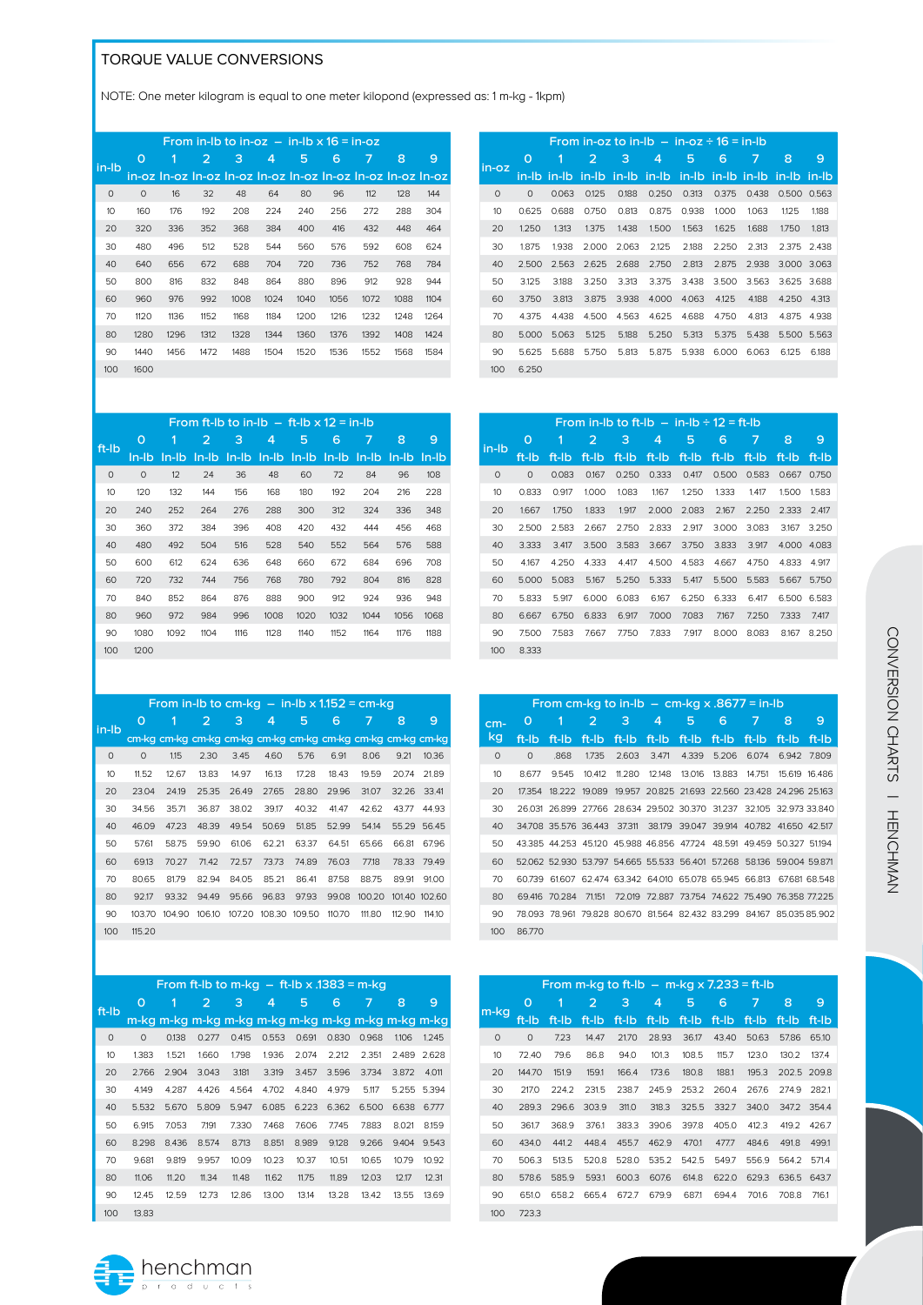### TORQUE VALUE CONVERSIONS

NOTE: One meter kilogram is equal to one meter kilopond (expressed as: 1 m-kg - 1kpm)

|          |         |      |      |      |      | From in-lb to in-oz $-$ in-lb $\times$ 16 = in-oz           |      |      |      |      |
|----------|---------|------|------|------|------|-------------------------------------------------------------|------|------|------|------|
| in-lb    | O       | 1    | 2    | 3    | 4    | 5                                                           | 6    | 7    | 8    | 9    |
|          |         |      |      |      |      | in-oz In-oz In-oz In-oz In-oz In-oz In-oz In-oz In-oz In-oz |      |      |      |      |
| $\Omega$ | $\circ$ | 16   | 32   | 48   | 64   | 80                                                          | 96   | 112  | 128  | 144  |
| 10       | 160     | 176  | 192  | 208  | 224  | 240                                                         | 256  | 272  | 288  | 304  |
| 20       | 320     | 336  | 352  | 368  | 384  | 400                                                         | 416  | 432  | 448  | 464  |
| 30       | 480     | 496  | 512  | 528  | 544  | 560                                                         | 576  | 592  | 608  | 624  |
| 40       | 640     | 656  | 672  | 688  | 704  | 720                                                         | 736  | 752  | 768  | 784  |
| 50       | 800     | 816  | 832  | 848  | 864  | 880                                                         | 896  | 912  | 928  | 944  |
| 60       | 960     | 976  | 992  | 1008 | 1024 | 1040                                                        | 1056 | 1072 | 1088 | 1104 |
| 70       | 1120    | 1136 | 1152 | 1168 | 1184 | 1200                                                        | 1216 | 1232 | 1248 | 1264 |
| 80       | 1280    | 1296 | 1312 | 1328 | 1344 | 1360                                                        | 1376 | 1392 | 1408 | 1424 |
| 90       | 1440    | 1456 | 1472 | 1488 | 1504 | 1520                                                        | 1536 | 1552 | 1568 | 1584 |
| 100      | 1600    |      |      |      |      |                                                             |      |      |      |      |

|         |          |       |       |          | From in-oz to in-lb $-$ in-oz $\div 16 = \text{in-lb}$ |       |       |             |       |        |
|---------|----------|-------|-------|----------|--------------------------------------------------------|-------|-------|-------------|-------|--------|
| in-oz   | O        | 1     | 2     | 3        | 4                                                      | 5     | 6     | 7           | 8     | 9      |
|         | in-Ib    | in-lb | in-lb | $in$ -lb | in-lb                                                  | in-lb |       | in-lb in-lb | in-lb | -in-lb |
| $\circ$ | $\Omega$ | 0.063 | 0.125 | 0.188    | 0.250                                                  | 0.313 | 0.375 | 0.438       | 0.500 | 0.563  |
| 10      | 0.625    | 0.688 | 0.750 | 0.813    | 0.875                                                  | 0.938 | 1.000 | 1.063       | 1.125 | 1.188  |
| 20      | 1.250    | 1.313 | 1.375 | 1.438    | 1.500                                                  | 1.563 | 1.625 | 1.688       | 1.750 | 1.813  |
| 30      | 1.875    | 1.938 | 2.000 | 2.063    | 2.125                                                  | 2.188 | 2.250 | 2.313       | 2.375 | 2.438  |
| 40      | 2.500    | 2.563 | 2.625 | 2.688    | 2.750                                                  | 2.813 | 2.875 | 2.938       | 3.000 | 3.063  |
| 50      | 3.125    | 3.188 | 3.250 | 3.313    | 3.375                                                  | 3.438 | 3.500 | 3.563       | 3.625 | 3.688  |
| 60      | 3.750    | 3.813 | 3.875 | 3.938    | 4.000                                                  | 4.063 | 4.125 | 4.188       | 4.250 | 4.313  |
| 70      | 4.375    | 4.438 | 4.500 | 4.563    | 4.625                                                  | 4.688 | 4.750 | 4.813       | 4.875 | 4.938  |
| 80      | 5.000    | 5.063 | 5.125 | 5.188    | 5.250                                                  | 5.313 | 5.375 | 5.438       | 5.500 | 5.563  |
| 90      | 5.625    | 5.688 | 5.750 | 5.813    | 5.875                                                  | 5.938 | 6.000 | 6.063       | 6.125 | 6.188  |
| 100     | 6.250    |       |       |          |                                                        |       |       |             |       |        |
|         |          |       |       |          |                                                        |       |       |             |       |        |

|         | From ft-lb to in-lb $-$ ft-lb $\times$ 12 = in-lb |         |          |      |                 |             |              |          |       |       |  |
|---------|---------------------------------------------------|---------|----------|------|-----------------|-------------|--------------|----------|-------|-------|--|
| ft-lb   | O                                                 | 1       | 2        | з    | 4               | 5           | 6            | 7        | 8     | 9     |  |
|         | ln-lb                                             | $In-lb$ | $In$ -lb |      | $ln-lb$ $ln-lb$ | $In$ - $Ib$ | $In$ - $I$ b | $In$ -lb | ln-lb | ln-lb |  |
| $\circ$ | 0                                                 | 12      | 24       | 36   | 48              | 60          | 72           | 84       | 96    | 108   |  |
| 10      | 120                                               | 132     | 144      | 156  | 168             | 180         | 192          | 204      | 216   | 228   |  |
| 20      | 240                                               | 252     | 264      | 276  | 288             | 300         | 312          | 324      | 336   | 348   |  |
| 30      | 360                                               | 372     | 384      | 396  | 408             | 420         | 432          | 444      | 456   | 468   |  |
| 40      | 480                                               | 492     | 504      | 516  | 528             | 540         | 552          | 564      | 576   | 588   |  |
| 50      | 600                                               | 612     | 624      | 636  | 648             | 660         | 672          | 684      | 696   | 708   |  |
| 60      | 720                                               | 732     | 744      | 756  | 768             | 780         | 792          | 804      | 816   | 828   |  |
| 70      | 840                                               | 852     | 864      | 876  | 888             | 900         | 912          | 924      | 936   | 948   |  |
| 80      | 960                                               | 972     | 984      | 996  | 1008            | 1020        | 1032         | 1044     | 1056  | 1068  |  |
| 90      | 1080                                              | 1092    | 1104     | 1116 | 1128            | 1140        | 1152         | 1164     | 1176  | 1188  |  |
| 100     | 1200                                              |         |          |      |                 |             |              |          |       |       |  |

|         |         |        |        |        |        |        |        | From in-lb to cm-kg $-$ in-lb x 1.152 = cm-kg               |        |        |
|---------|---------|--------|--------|--------|--------|--------|--------|-------------------------------------------------------------|--------|--------|
| in-lb   | O       | 1      | 2      | 3      | 4      | 5      | 6      | 7                                                           | 8      | 9      |
|         |         |        |        |        |        |        |        | cm-kg cm-kg cm-kg cm-kg cm-kg cm-kg cm-kg cm-kg cm-kg cm-kg |        |        |
| $\circ$ | $\circ$ | 1.15   | 2.30   | 3.45   | 4.60   | 5.76   | 6.91   | 8.06                                                        | 9.21   | 10.36  |
| 10      | 11.52   | 12.67  | 13.83  | 14.97  | 16.13  | 17.28  | 18.43  | 19.59                                                       | 20.74  | 21.89  |
| 20      | 23.04   | 24.19  | 25.35  | 26.49  | 27.65  | 28.80  | 29.96  | 31.07                                                       | 32.26  | 33.41  |
| 30      | 34.56   | 35.71  | 36.87  | 38.02  | 39.17  | 40.32  | 41.47  | 42.62                                                       | 43.77  | 44.93  |
| 40      | 46.09   | 47.23  | 48.39  | 49.54  | 50.69  | 51.85  | 52.99  | 54.14                                                       | 55.29  | 56.45  |
| 50      | 57.61   | 58.75  | 59.90  | 61.06  | 62.21  | 63.37  | 64.51  | 65.66                                                       | 66.81  | 67.96  |
| 60      | 69.13   | 70.27  | 71.42  | 72.57  | 73.73  | 74.89  | 76.03  | 77.18                                                       | 78.33  | 79.49  |
| 70      | 80.65   | 81.79  | 82.94  | 84.05  | 85.21  | 86.41  | 87.58  | 88.75                                                       | 89.91  | 91.00  |
| 80      | 92.17   | 93.32  | 94.49  | 95.66  | 96.83  | 97.93  | 99.08  | 100.20                                                      | 101.40 | 102.60 |
| 90      | 103.70  | 104.90 | 106.10 | 107.20 | 108.30 | 109.50 | 110.70 | 111,80                                                      | 112.90 | 114.10 |
| 100     | 115.20  |        |        |        |        |        |        |                                                             |        |        |

|          | From ft-lb to m-kg $-$ ft-lb x .1383 = m-kg |       |       |       |       |       |       |       |       |       |
|----------|---------------------------------------------|-------|-------|-------|-------|-------|-------|-------|-------|-------|
| ft-lb    | O                                           | 1     | 2     | з     | 4     | 5     | 6     | 7     | 8     | 9     |
|          |                                             |       |       |       |       |       |       |       |       |       |
| $\Omega$ | 0                                           | 0.138 | 0.277 | 0.415 | 0.553 | 0.691 | 0.830 | 0.968 | 1.106 | 1.245 |
| 10       | 1.383                                       | 1.521 | 1.660 | 1.798 | 1.936 | 2.074 | 2.212 | 2.351 | 2.489 | 2.628 |
| 20       | 2.766                                       | 2.904 | 3.043 | 3.181 | 3.319 | 3.457 | 3.596 | 3.734 | 3.872 | 4.011 |
| 30       | 4.149                                       | 4.287 | 4.426 | 4.564 | 4.702 | 4.840 | 4.979 | 5.117 | 5.255 | 5.394 |
| 40       | 5.532                                       | 5.670 | 5.809 | 5.947 | 6.085 | 6.223 | 6.362 | 6.500 | 6.638 | 6.777 |
| 50       | 6.915                                       | 7.053 | 7.191 | 7.330 | 7.468 | 7.606 | 7.745 | 7.883 | 8.021 | 8.159 |
| 60       | 8.298                                       | 8.436 | 8.574 | 8.713 | 8.851 | 8.989 | 9.128 | 9.266 | 9.404 | 9.543 |
| 70       | 9.681                                       | 9.819 | 9.957 | 10.09 | 10.23 | 10.37 | 10.51 | 10.65 | 10.79 | 10.92 |
| 80       | 11.06                                       | 11.20 | 11.34 | 11.48 | 11,62 | 11.75 | 11.89 | 12.03 | 12.17 | 12.31 |
| 90       | 12.45                                       | 12.59 | 12.73 | 12.86 | 13.00 | 13.14 | 13.28 | 13.42 | 13.55 | 13.69 |
| 100      | 13.83                                       |       |       |       |       |       |       |       |       |       |



|          | From cm-kg to in-lb $-$ cm-kg x .8677 = in-lb |                                                                       |        |        |             |        |                                                  |        |       |               |
|----------|-----------------------------------------------|-----------------------------------------------------------------------|--------|--------|-------------|--------|--------------------------------------------------|--------|-------|---------------|
| $cm-$    | O                                             | 1                                                                     | 2      | 3      | 4           | 5      | 6                                                | 7      | 8     | 9             |
| kg       | ft-lb                                         | ft-lb                                                                 | ft-lb  |        | ft-lb ft-lb | ft-lb  | ft-lb ft-lb                                      |        | ft-Ib | ft-Ib         |
| $\Omega$ | $\Omega$                                      | .868                                                                  | 1.735  |        | 2.603 3.471 |        | 4.339 5.206                                      | 6.074  | 6.942 | 7.809         |
| 10       | 8.677                                         | 9.545                                                                 | 10.412 | 11.280 | 12.148      | 13.016 | 13.883                                           | 14.751 |       | 15 619 16 486 |
| 20       | 17354                                         | 18.222 19.089                                                         |        |        |             |        | 19.957 20.825 21.693 22.560 23.428 24.296 25.163 |        |       |               |
| 30       |                                               | 26.031 26.899 27.766 28.634 29.502 30.370 31.237 32.105 32.973 33.840 |        |        |             |        |                                                  |        |       |               |
| 40       |                                               | 34.708 35.576 36.443 37.311 38.179 39.047 39.914 40.782 41.650 42.517 |        |        |             |        |                                                  |        |       |               |
| 50       |                                               | 43.385 44.253 45.120 45.988 46.856 47.724 48.591 49.459 50.327 51.194 |        |        |             |        |                                                  |        |       |               |
| 60       |                                               | 52.062 52.930 53.797 54.665 55.533 56.401 57.268 58.136 59.004 59.871 |        |        |             |        |                                                  |        |       |               |
| 70       |                                               | 60.739 61.607 62.474 63.342 64.010 65.078 65.945 66.813 67.681 68.548 |        |        |             |        |                                                  |        |       |               |
| 80       |                                               | 69 416 70 284 71151 72 019 72 887 73 754 74 622 75 490 76 358 77 225  |        |        |             |        |                                                  |        |       |               |
| 90       |                                               | 78.093 78.961 79.828 80.670 81.564 82.432 83.299 84.167 85.035 85.902 |        |        |             |        |                                                  |        |       |               |
| 100      | 86.770                                        |                                                                       |        |        |             |        |                                                  |        |       |               |
|          |                                               |                                                                       |        |        |             |        |                                                  |        |       |               |

|         | From m-kg to ft-lb $-$ m-kg x 7.233 = ft-lb |       |       |       |       |       |       |       |       |       |  |
|---------|---------------------------------------------|-------|-------|-------|-------|-------|-------|-------|-------|-------|--|
| m-kg    | O                                           | 1     | 2     | з     | 4     | 5     | 6     | 7     | 8     | 9     |  |
|         | ft-Ib                                       | ft-lb | ft-lb | ft-lb | ft-lb | ft-lb | ft-lb | ft-Ib | ft-lb | ft-lb |  |
| $\circ$ | $\circ$                                     | 7.23  | 14.47 | 21.70 | 28.93 | 36.17 | 43.40 | 50.63 | 57.86 | 65.10 |  |
| 10      | 72.40                                       | 79.6  | 86.8  | 94.0  | 101.3 | 108.5 | 115.7 | 123.0 | 130.2 | 137.4 |  |
| 20      | 144.70                                      | 151.9 | 159.1 | 166.4 | 173.6 | 180.8 | 188.1 | 195.3 | 202.5 | 209.8 |  |
| 30      | 217.0                                       | 224.2 | 231.5 | 238.7 | 245.9 | 253.2 | 260.4 | 267.6 | 2749  | 282.1 |  |
| 40      | 289.3                                       | 296.6 | 303.9 | 311.0 | 318.3 | 325.5 | 332.7 | 340.0 | 347.2 | 354.4 |  |
| 50      | 361.7                                       | 368.9 | 376.1 | 383.3 | 390.6 | 397.8 | 405.0 | 412.3 | 419.2 | 426.7 |  |
| 60      | 434.0                                       | 441.2 | 448.4 | 455.7 | 462.9 | 470.1 | 477.7 | 484.6 | 491.8 | 499.1 |  |
| 70      | 506.3                                       | 513.5 | 520.8 | 528.0 | 535.2 | 542.5 | 549.7 | 556.9 | 564.2 | 571.4 |  |
| 80      | 578.6                                       | 585.9 | 593.1 | 600.3 | 607.6 | 614.8 | 622.0 | 629.3 | 636.5 | 643.7 |  |
| 90      | 651.0                                       | 658.2 | 665.4 | 672.7 | 679.9 | 6871  | 694.4 | 701.6 | 708.8 | 716.1 |  |
| 100     | 723.3                                       |       |       |       |       |       |       |       |       |       |  |
|         |                                             |       |       |       |       |       |       |       |       |       |  |



 $\frac{henchman}{\frac{p}{p} \cdot \frac{p}{p} \cdot \frac{p}{q} \cdot \frac{p}{q} \cdot \frac{p}{q} \cdot \frac{p}{q}}$